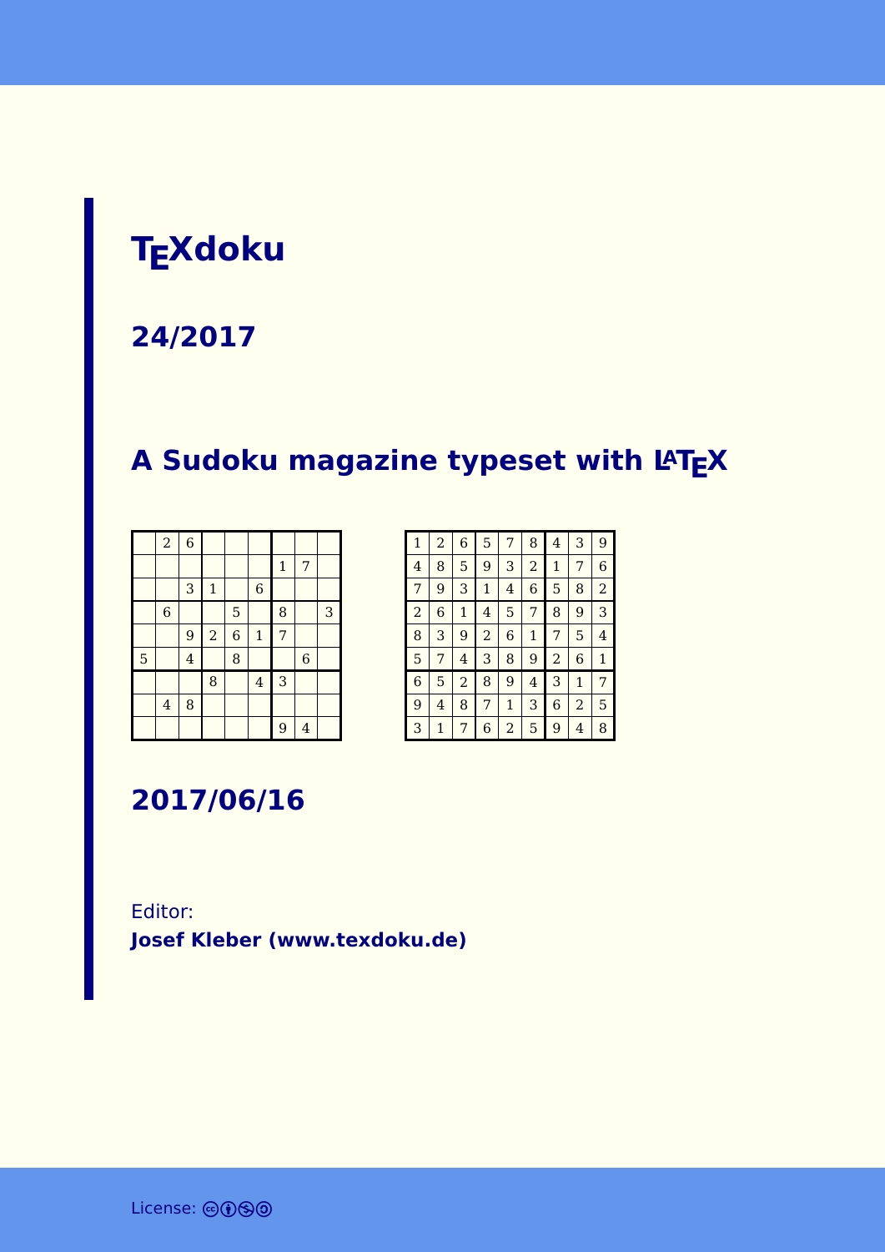# **TEXdoku**

**24/2017**

# **A Sudoku magazine typeset with LATEX**

|   | $\boldsymbol{2}$        | $\overline{6}$ |                |                |                |              |                |   |
|---|-------------------------|----------------|----------------|----------------|----------------|--------------|----------------|---|
|   |                         |                |                |                |                | $\mathbf{1}$ | 7              |   |
|   |                         | 3              | $\mathbf 1$    |                | $\,$ 6 $\,$    |              |                |   |
|   | $\,$ 6 $\,$             |                |                | 5              |                | 8            |                | 3 |
|   |                         | 9              | $\overline{a}$ | $\overline{6}$ | $\mathbf 1$    | 7            |                |   |
| 5 |                         | $\overline{4}$ |                | 8              |                |              | $\overline{6}$ |   |
|   |                         |                | 8              |                | $\overline{4}$ | 3            |                |   |
|   | $\overline{\mathbf{4}}$ | 8              |                |                |                |              |                |   |
|   |                         |                |                |                |                | 9            | $\overline{4}$ |   |

| 1              | $\overline{a}$ | 6            | 5              | 7            | 8              | 4 | 3              | 9              |
|----------------|----------------|--------------|----------------|--------------|----------------|---|----------------|----------------|
| 4              | 8              | 5            | 9              | 3            | $\overline{c}$ | 1 | 7              | 6              |
| 7              | 9              | 3            | $\mathbf{1}$   | 4            | 6              | 5 | 8              | $\overline{2}$ |
| $\overline{2}$ | 6              | $\mathbf{1}$ | 4              | 5            | 7              | 8 | 9              | 3              |
| 8              | 3              | 9            | $\overline{2}$ | 6            | 1              | 7 | 5              | 4              |
| 5              | 7              | 4            | 3              | 8            | 9              | 2 | 6              | $\mathbf{1}$   |
| 6              | 5              | 2            | 8              | 9            | 4              | 3 | $\mathbf{1}$   | 7              |
| 9              | 4              | 8            | 7              | $\mathbf{1}$ | 3              | 6 | $\overline{c}$ | 5              |
| 3              | 1              | 7            | 6              | 2            | 5              | 9 | 4              | 8              |

**2017/06/16**

Editor: **[Josef Kleber \(www.texdoku.de\)](mailto:texdoku@texdoku.de)**

License: @0<sup>9</sup>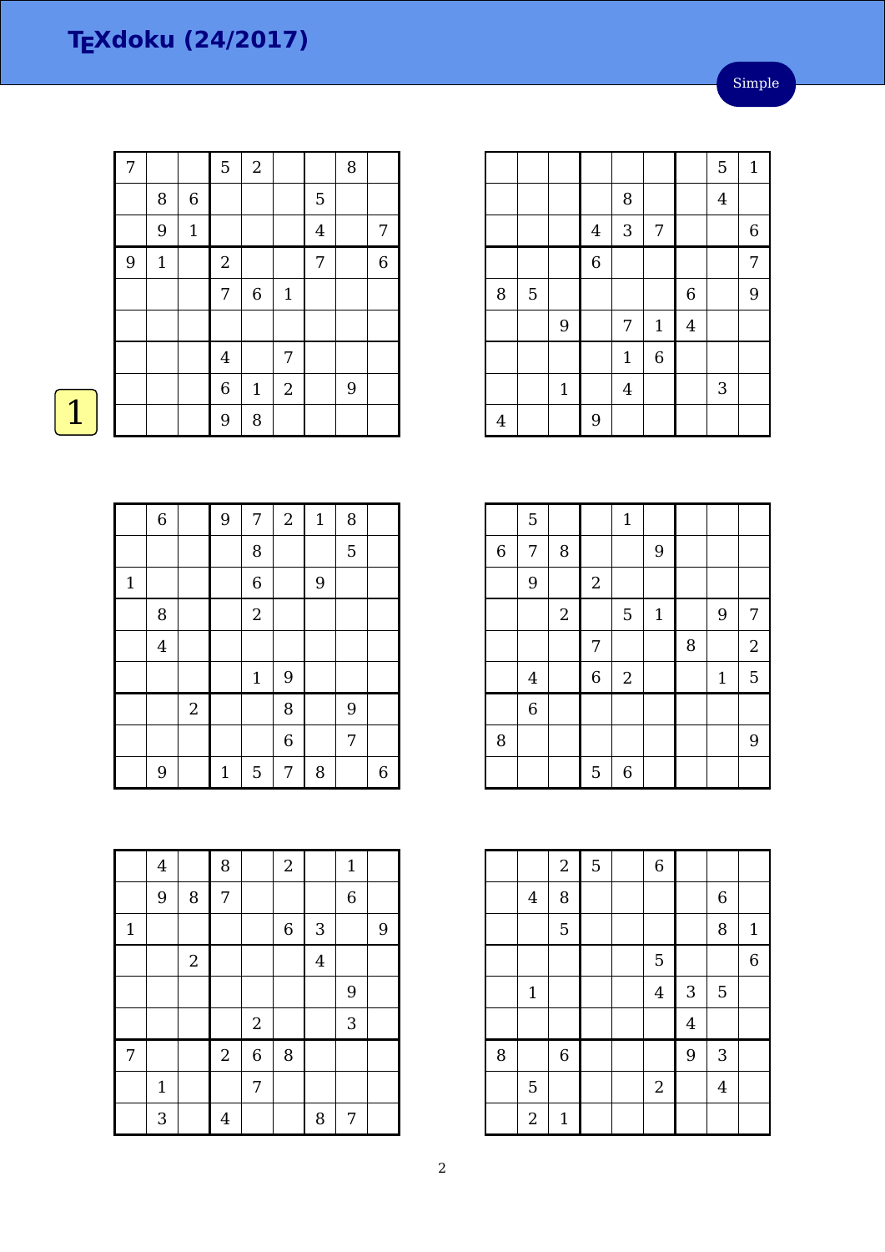| 7 |              |              | 5              | $\sqrt{2}$   |                  |                | 8 |             |
|---|--------------|--------------|----------------|--------------|------------------|----------------|---|-------------|
|   | $\, 8$       | $\,6\,$      |                |              |                  | $\overline{5}$ |   |             |
|   | $9\,$        | $\mathbf{1}$ |                |              |                  | $\bf 4$        |   | 7           |
| 9 | $\mathbf{1}$ |              | $\sqrt{2}$     |              |                  | $\sqrt{ }$     |   | $\,$ 6 $\,$ |
|   |              |              | $\overline{7}$ | $\,6\,$      | $\mathbf{1}$     |                |   |             |
|   |              |              |                |              |                  |                |   |             |
|   |              |              | $\overline{4}$ |              | 7                |                |   |             |
|   |              |              | $\overline{6}$ | $\mathbf{1}$ | $\boldsymbol{2}$ |                | 9 |             |
|   |              |              | 9              | 8            |                  |                |   |             |

|             | $\overline{6}$ |                | 9     | 7           | $\overline{2}$ | $\mathbf 1$ | 8 |   |
|-------------|----------------|----------------|-------|-------------|----------------|-------------|---|---|
|             |                |                |       | 8           |                |             | 5 |   |
| $\mathbf 1$ |                |                |       | 6           |                | 9           |   |   |
|             | 8              |                |       | $\sqrt{2}$  |                |             |   |   |
|             | $\overline{4}$ |                |       |             |                |             |   |   |
|             |                |                |       | $\mathbf 1$ | 9              |             |   |   |
|             |                | $\overline{2}$ |       |             | 8              |             | 9 |   |
|             |                |                |       |             | $\overline{6}$ |             | 7 |   |
|             | 9              |                | $1\,$ | 5           | 7              | 8           |   | 6 |

|                |   |             |                |                |                |                | 5              | $\mathbf 1$      |
|----------------|---|-------------|----------------|----------------|----------------|----------------|----------------|------------------|
|                |   |             |                | 8              |                |                | $\overline{4}$ |                  |
|                |   |             | $\overline{4}$ | 3              | 7              |                |                | $\boldsymbol{6}$ |
|                |   |             | $\overline{6}$ |                |                |                |                | 7                |
| 8              | 5 |             |                |                |                | $\,$ 6 $\,$    |                | 9                |
|                |   | 9           |                | 7              | $\mathbf{1}$   | $\overline{4}$ |                |                  |
|                |   |             |                | $\mathbf{1}$   | $\overline{6}$ |                |                |                  |
|                |   | $\mathbf 1$ |                | $\overline{4}$ |                |                | 3              |                  |
| $\overline{4}$ |   |             | 9              |                |                |                |                |                  |

|             | 5              |                |            | $\mathbf{1}$     |              |   |              |                |
|-------------|----------------|----------------|------------|------------------|--------------|---|--------------|----------------|
| $\,$ 6 $\,$ | 7              | 8              |            |                  | 9            |   |              |                |
|             | 9              |                | $\sqrt{2}$ |                  |              |   |              |                |
|             |                | $\overline{a}$ |            | 5                | $\mathbf{1}$ |   | 9            | 7              |
|             |                |                | 7          |                  |              | 8 |              | $\sqrt{2}$     |
|             | $\overline{4}$ |                | 6          | $\boldsymbol{2}$ |              |   | $\mathbf{1}$ | $\overline{5}$ |
|             | $\,$ 6 $\,$    |                |            |                  |              |   |              |                |
| 8           |                |                |            |                  |              |   |              | 9              |
|             |                |                | 5          | 6                |              |   |              |                |

|   |                | $\sqrt{2}$  | $\overline{5}$ | $\overline{6}$ |                         |                  |                |
|---|----------------|-------------|----------------|----------------|-------------------------|------------------|----------------|
|   | $\overline{4}$ | 8           |                |                |                         | $\boldsymbol{6}$ |                |
|   |                | 5           |                |                |                         | 8                | $\mathbf{1}$   |
|   |                |             |                | 5              |                         |                  | $\overline{6}$ |
|   | $\mathbf{1}$   |             |                | $\overline{4}$ | 3                       | 5                |                |
|   |                |             |                |                | $\overline{\mathbf{4}}$ |                  |                |
| 8 |                | $\,$ 6 $\,$ |                |                | 9                       | 3                |                |
|   | 5              |             |                | $\sqrt{2}$     |                         | $\overline{4}$   |                |
|   | $\overline{2}$ | $\mathbf 1$ |                |                |                         |                  |                |

|             | $\bf 4$ |                  | 8              |                  | $\overline{a}$ |                | $\mathbf 1$    |                |
|-------------|---------|------------------|----------------|------------------|----------------|----------------|----------------|----------------|
|             | 9       | 8                | 7              |                  |                |                | $\overline{6}$ |                |
| $\mathbf 1$ |         |                  |                |                  | $\,$ 6 $\,$    | 3              |                | $\overline{9}$ |
|             |         | $\boldsymbol{2}$ |                |                  |                | $\overline{4}$ |                |                |
|             |         |                  |                |                  |                |                | 9              |                |
|             |         |                  |                | $\boldsymbol{2}$ |                |                | 3              |                |
| 7           |         |                  | $\sqrt{2}$     | $\overline{6}$   | 8              |                |                |                |
|             | $1\,$   |                  |                | 7                |                |                |                |                |
|             | 3       |                  | $\overline{4}$ |                  |                | 8              | 7              |                |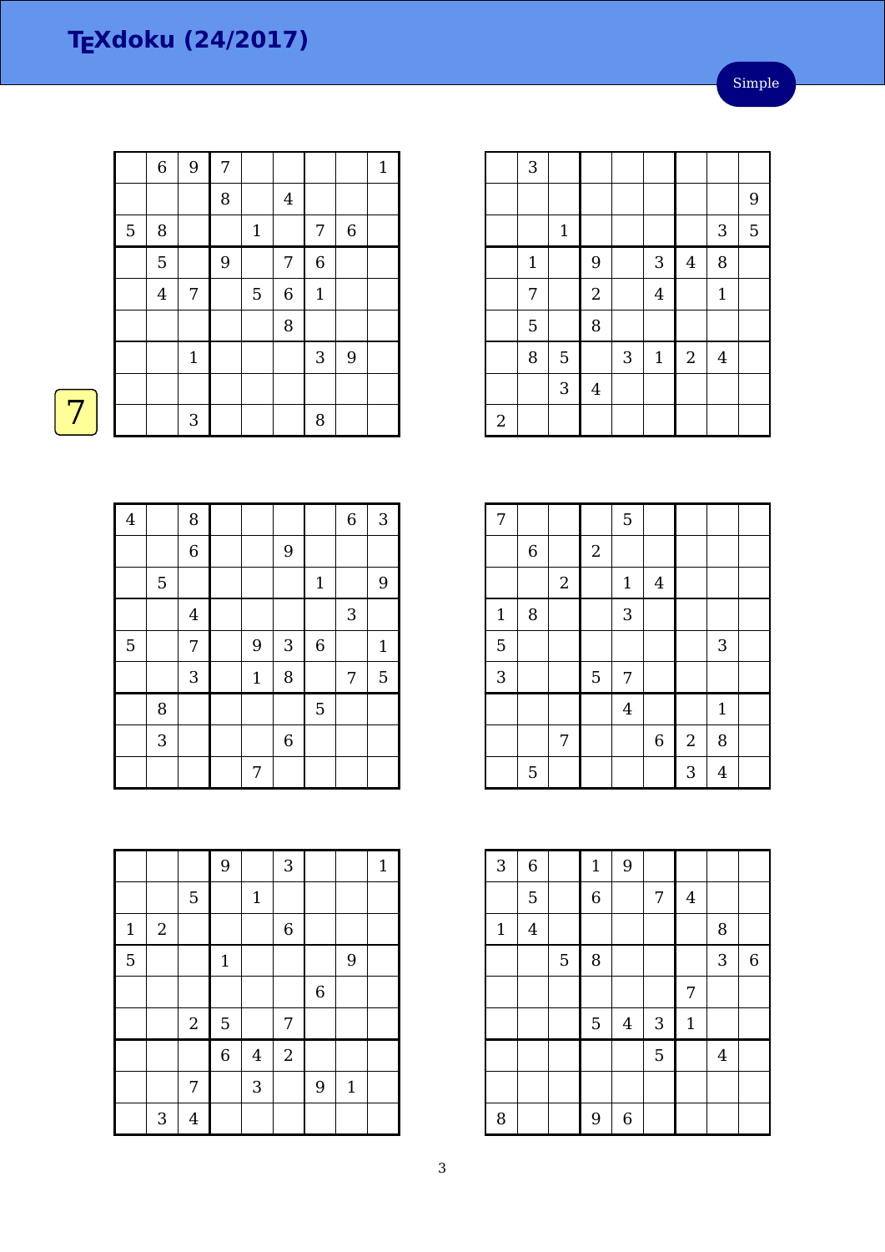|             | $\,$ 6 $\,$    | $\overline{9}$ | 7 |              |                  |             |             | $1\,$ |
|-------------|----------------|----------------|---|--------------|------------------|-------------|-------------|-------|
|             |                |                | 8 |              | $\overline{4}$   |             |             |       |
| $\mathbf 5$ | $\, 8$         |                |   | $\mathbf{1}$ |                  | 7           | $\,$ 6 $\,$ |       |
|             | 5              |                | 9 |              | 7                | $\,$ 6 $\,$ |             |       |
|             | $\overline{4}$ | $\overline{7}$ |   | $\mathbf 5$  | $\boldsymbol{6}$ | $\mathbf 1$ |             |       |
|             |                |                |   |              | 8                |             |             |       |
|             |                | $\mathbf{1}$   |   |              |                  | $\sqrt{3}$  | 9           |       |
|             |                |                |   |              |                  |             |             |       |
|             |                | 3              |   |              |                  | 8           |             |       |

|                | 3            |             |                |   |                |                |                |   |
|----------------|--------------|-------------|----------------|---|----------------|----------------|----------------|---|
|                |              |             |                |   |                |                |                | 9 |
|                |              | $\mathbf 1$ |                |   |                |                | 3              | 5 |
|                | $\mathbf{1}$ |             | 9              |   | 3              | $\overline{4}$ | 8              |   |
|                | 7            |             | $\overline{a}$ |   | $\overline{4}$ |                | $\mathbf{1}$   |   |
|                | $\mathbf 5$  |             | 8              |   |                |                |                |   |
|                | 8            | 5           |                | 3 | $\mathbf{1}$   | $\sqrt{2}$     | $\overline{4}$ |   |
|                |              | 3           | $\bf 4$        |   |                |                |                |   |
| $\overline{2}$ |              |             |                |   |                |                |                |   |

| $\overline{7}$ |   |            |            | 5            |                |            |                |  |
|----------------|---|------------|------------|--------------|----------------|------------|----------------|--|
|                | 6 |            | $\sqrt{2}$ |              |                |            |                |  |
|                |   | $\sqrt{2}$ |            | $\mathbf{1}$ | $\overline{4}$ |            |                |  |
| $1\,$          | 8 |            |            | 3            |                |            |                |  |
| 5              |   |            |            |              |                |            | 3              |  |
| 3              |   |            | 5          | 7            |                |            |                |  |
|                |   |            |            | $\bf 4$      |                |            | $\mathbf{1}$   |  |
|                |   | 7          |            |              | $\,6\,$        | $\sqrt{2}$ | 8              |  |
|                | 5 |            |            |              |                | 3          | $\overline{4}$ |  |

| 3           | $\,$ 6 $\,$    |                | $1\,$          | 9           |   |             |                |                  |
|-------------|----------------|----------------|----------------|-------------|---|-------------|----------------|------------------|
|             | $\overline{5}$ |                | $\overline{6}$ |             | 7 | 4           |                |                  |
| $\mathbf 1$ | $\overline{4}$ |                |                |             |   |             | 8              |                  |
|             |                | $\overline{5}$ | 8              |             |   |             | 3              | $\boldsymbol{6}$ |
|             |                |                |                |             |   | 7           |                |                  |
|             |                |                | 5              | $\bf 4$     | 3 | $\mathbf 1$ |                |                  |
|             |                |                |                |             | 5 |             | $\overline{4}$ |                  |
|             |                |                |                |             |   |             |                |                  |
| 8           |                |                | 9              | $\,$ 6 $\,$ |   |             |                |                  |

| $\overline{4}$ |   | 8              |             |                |                | $\overline{6}$ | 3            |
|----------------|---|----------------|-------------|----------------|----------------|----------------|--------------|
|                |   | $\overline{6}$ |             | 9              |                |                |              |
|                | 5 |                |             |                | $\mathbf 1$    |                | $9$          |
|                |   | $\overline{4}$ |             |                |                | 3              |              |
| 5              |   | $\overline{7}$ | 9           | 3              | $\overline{6}$ |                | $\mathbf{1}$ |
|                |   | 3              | $\mathbf 1$ | 8              |                | 7              | 5            |
|                | 8 |                |             |                | 5              |                |              |
|                | 3 |                |             | $\overline{6}$ |                |                |              |
|                |   |                | 7           |                |                |                |              |

|                |                  |                  | 9              |                | 3              |                |              | $1\,$ |
|----------------|------------------|------------------|----------------|----------------|----------------|----------------|--------------|-------|
|                |                  | $\overline{5}$   |                | $\mathbf 1$    |                |                |              |       |
| $\mathbf{1}$   | $\boldsymbol{2}$ |                  |                |                | $\overline{6}$ |                |              |       |
| $\overline{5}$ |                  |                  | $\mathbf 1$    |                |                |                | 9            |       |
|                |                  |                  |                |                |                | $\overline{6}$ |              |       |
|                |                  | $\boldsymbol{2}$ | $\overline{5}$ |                | 7              |                |              |       |
|                |                  |                  | $\overline{6}$ | $\overline{4}$ | $\overline{2}$ |                |              |       |
|                |                  | 7                |                | 3              |                | 9              | $\mathbf{1}$ |       |
|                | $\sqrt{3}$       | $\overline{4}$   |                |                |                |                |              |       |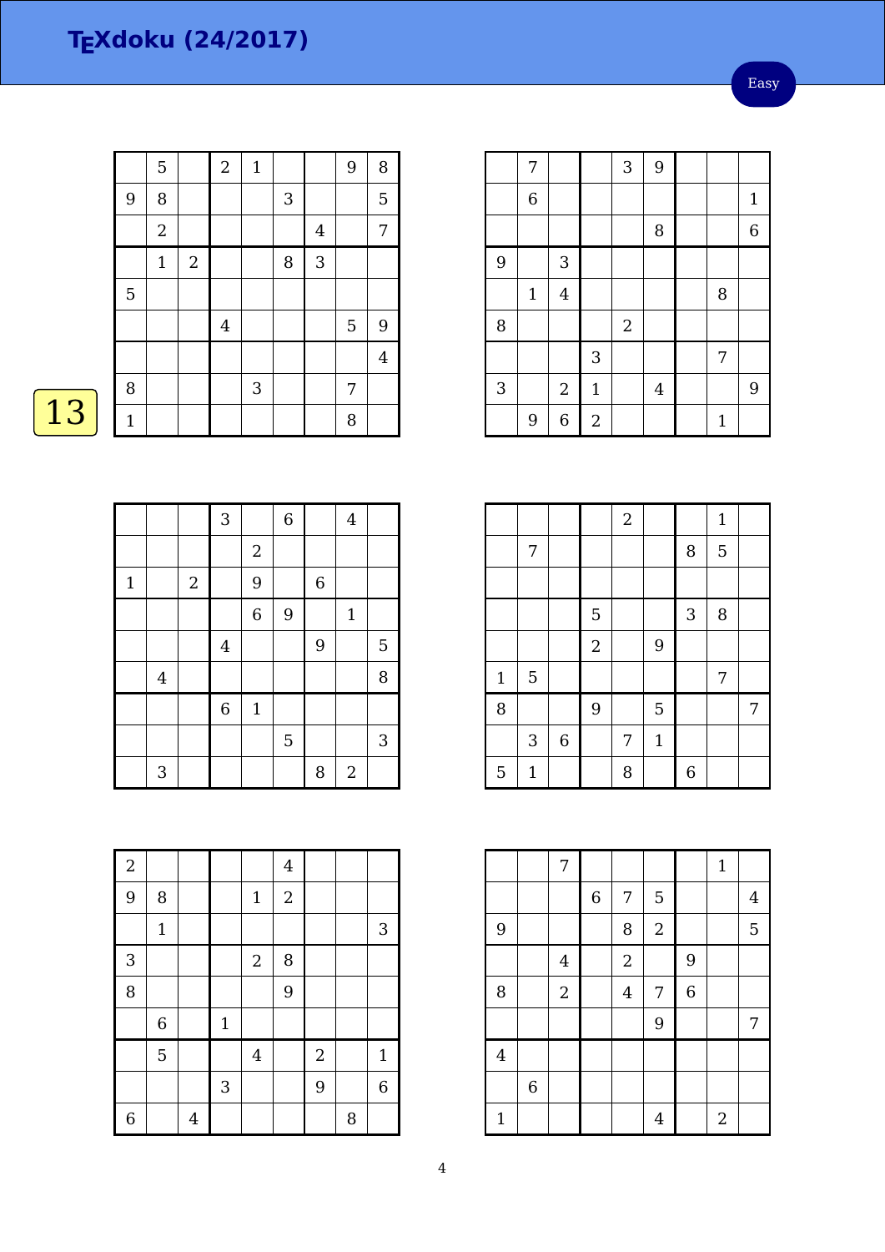|              | 5              |            | $\boldsymbol{2}$        | $\mathbf{1}$ |   |                | 9              | 8              |
|--------------|----------------|------------|-------------------------|--------------|---|----------------|----------------|----------------|
| 9            | 8              |            |                         |              | 3 |                |                | 5              |
|              | $\overline{2}$ |            |                         |              |   | $\overline{4}$ |                | 7              |
|              | $\mathbf 1$    | $\sqrt{2}$ |                         |              | 8 | 3              |                |                |
| 5            |                |            |                         |              |   |                |                |                |
|              |                |            | $\overline{\mathbf{4}}$ |              |   |                | $\overline{5}$ | 9              |
|              |                |            |                         |              |   |                |                | $\overline{4}$ |
| 8            |                |            |                         | 3            |   |                | 7              |                |
| $\mathbf{1}$ |                |            |                         |              |   |                | 8              |                |

# $\boxed{13}$

|             |                |            | 3              |                | $\overline{6}$ |             | $\overline{4}$ |            |
|-------------|----------------|------------|----------------|----------------|----------------|-------------|----------------|------------|
|             |                |            |                | $\sqrt{2}$     |                |             |                |            |
| $\mathbf 1$ |                | $\sqrt{2}$ |                | 9              |                | $\,$ 6 $\,$ |                |            |
|             |                |            |                | $\overline{6}$ | 9              |             | $\mathbf{1}$   |            |
|             |                |            | $\overline{4}$ |                |                | 9           |                | 5          |
|             | $\overline{4}$ |            |                |                |                |             |                | 8          |
|             |                |            | $\overline{6}$ | $\mathbf{1}$   |                |             |                |            |
|             |                |            |                |                | 5              |             |                | $\sqrt{3}$ |
|             | 3              |            |                |                |                | 8           | $\sqrt{2}$     |            |

| $\overline{a}$ |              |                |            |                | $\overline{4}$ |                |   |                |
|----------------|--------------|----------------|------------|----------------|----------------|----------------|---|----------------|
| 9              | 8            |                |            | $1\,$          | $\overline{a}$ |                |   |                |
|                | $\mathbf{1}$ |                |            |                |                |                |   | 3              |
| 3              |              |                |            | $\sqrt{2}$     | 8              |                |   |                |
| 8              |              |                |            |                | 9              |                |   |                |
|                | $\,$ 6 $\,$  |                | $1\,$      |                |                |                |   |                |
|                | 5            |                |            | $\overline{4}$ |                | $\overline{a}$ |   | $\mathbf{1}$   |
|                |              |                | $\sqrt{3}$ |                |                | 9              |   | $\overline{6}$ |
| $\overline{6}$ |              | $\overline{4}$ |            |                |                |                | 8 |                |

|   | 7           |                |                | 3          | 9              |              |              |
|---|-------------|----------------|----------------|------------|----------------|--------------|--------------|
|   | $\,$ 6 $\,$ |                |                |            |                |              | $\mathbf{1}$ |
|   |             |                |                |            | 8              |              | 6            |
| 9 |             | 3              |                |            |                |              |              |
|   | $1\,$       | $\overline{4}$ |                |            |                | 8            |              |
| 8 |             |                |                | $\sqrt{2}$ |                |              |              |
|   |             |                | 3              |            |                | 7            |              |
| 3 |             | $\sqrt{2}$     | $\mathbf 1$    |            | $\overline{4}$ |              | 9            |
|   | 9           | $\overline{6}$ | $\overline{2}$ |            |                | $\mathbf{1}$ |              |

|             |             |                |            | $\overline{2}$ |              |            | $\mathbf{1}$ |   |
|-------------|-------------|----------------|------------|----------------|--------------|------------|--------------|---|
|             | 7           |                |            |                |              | 8          | 5            |   |
|             |             |                |            |                |              |            |              |   |
|             |             |                | 5          |                |              | $\sqrt{3}$ | 8            |   |
|             |             |                | $\sqrt{2}$ |                | 9            |            |              |   |
| $\mathbf 1$ | 5           |                |            |                |              |            | 7            |   |
| 8           |             |                | 9          |                | 5            |            |              | 7 |
|             | $\sqrt{3}$  | $\overline{6}$ |            | 7              | $\mathbf{1}$ |            |              |   |
| 5           | $\mathbf 1$ |                |            | 8              |              | 6          |              |   |

|                         |             | 7              |             |                |                  |             | $1\,$          |                |
|-------------------------|-------------|----------------|-------------|----------------|------------------|-------------|----------------|----------------|
|                         |             |                | $\,$ 6 $\,$ | 7              | 5                |             |                | $\overline{4}$ |
| 9                       |             |                |             | 8              | $\boldsymbol{2}$ |             |                | 5              |
|                         |             | $\overline{4}$ |             | $\overline{2}$ |                  | 9           |                |                |
| 8                       |             | $\overline{2}$ |             | $\overline{4}$ | 7                | $\,$ 6 $\,$ |                |                |
|                         |             |                |             |                | 9                |             |                | 7              |
| $\overline{\mathbf{4}}$ |             |                |             |                |                  |             |                |                |
|                         | $\,$ 6 $\,$ |                |             |                |                  |             |                |                |
| $\mathbf{1}$            |             |                |             |                | $\overline{4}$   |             | $\overline{2}$ |                |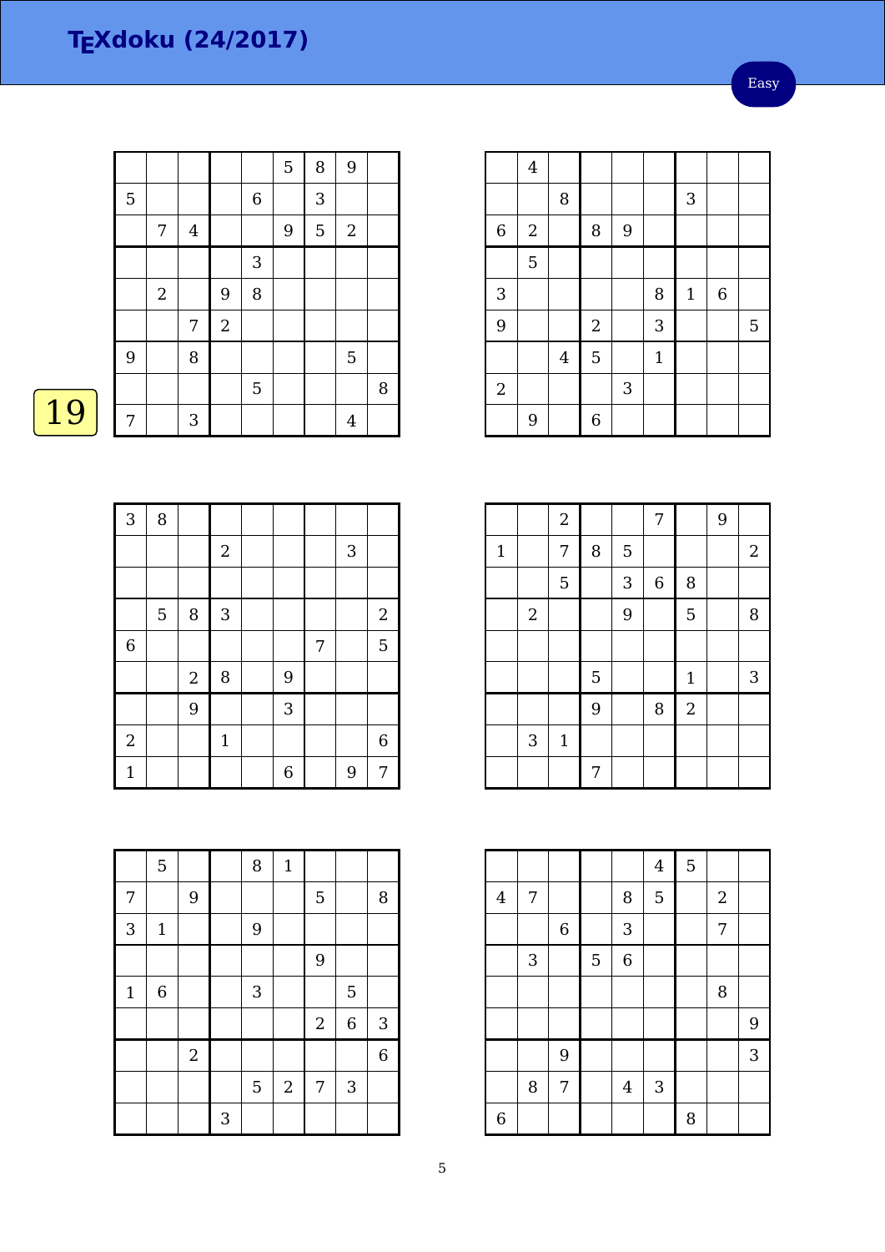Easy

|    |                |                |                |            |             | 5 | 8 | 9              |   |
|----|----------------|----------------|----------------|------------|-------------|---|---|----------------|---|
|    | $\overline{5}$ |                |                |            | $\,$ 6 $\,$ |   | 3 |                |   |
|    |                | 7              | $\overline{4}$ |            |             | 9 | 5 | $\overline{2}$ |   |
|    |                |                |                |            | 3           |   |   |                |   |
|    |                | $\overline{2}$ |                | 9          | 8           |   |   |                |   |
|    |                |                | 7              | $\sqrt{2}$ |             |   |   |                |   |
|    | 9              |                | 8              |            |             |   |   | 5              |   |
|    |                |                |                |            | 5           |   |   |                | 8 |
| 19 | 7              |                | 3              |            |             |   |   | $\overline{4}$ |   |
|    |                |                |                |            |             |   |   |                |   |

|                | $\overline{4}$   |         |            |   |              |             |                  |             |
|----------------|------------------|---------|------------|---|--------------|-------------|------------------|-------------|
|                |                  | 8       |            |   |              | 3           |                  |             |
| $\,$ 6 $\,$    | $\boldsymbol{2}$ |         | 8          | 9 |              |             |                  |             |
|                | 5                |         |            |   |              |             |                  |             |
| 3              |                  |         |            |   | 8            | $\mathbf 1$ | $\boldsymbol{6}$ |             |
| 9              |                  |         | $\sqrt{2}$ |   | 3            |             |                  | $\mathbf 5$ |
|                |                  | $\bf 4$ | 5          |   | $\mathbf{1}$ |             |                  |             |
| $\overline{2}$ |                  |         |            | 3 |              |             |                  |             |
|                | 9                |         | 6          |   |              |             |                  |             |

|             |                | $\sqrt{2}$  |   |   | 7           |                | 9 |                |
|-------------|----------------|-------------|---|---|-------------|----------------|---|----------------|
| $\mathbf 1$ |                | 7           | 8 | 5 |             |                |   | $\overline{2}$ |
|             |                | 5           |   | 3 | $\,$ 6 $\,$ | 8              |   |                |
|             | $\overline{2}$ |             |   | 9 |             | 5              |   | 8              |
|             |                |             |   |   |             |                |   |                |
|             |                |             | 5 |   |             | $\mathbf{1}$   |   | 3              |
|             |                |             | 9 |   | 8           | $\overline{2}$ |   |                |
|             | 3              | $\mathbf 1$ |   |   |             |                |   |                |
|             |                |             | 7 |   |             |                |   |                |

|                |   |         |   |                | $\overline{4}$ | 5 |                  |   |
|----------------|---|---------|---|----------------|----------------|---|------------------|---|
| $\bf 4$        | 7 |         |   | 8              | 5              |   | $\boldsymbol{2}$ |   |
|                |   | $\,6\,$ |   | 3              |                |   | $\overline{7}$   |   |
|                | 3 |         | 5 | $\overline{6}$ |                |   |                  |   |
|                |   |         |   |                |                |   | 8                |   |
|                |   |         |   |                |                |   |                  | 9 |
|                |   | 9       |   |                |                |   |                  | 3 |
|                | 8 | 7       |   | $\overline{4}$ | 3              |   |                  |   |
| $\overline{6}$ |   |         |   |                |                | 8 |                  |   |

| 3              | 8 |                |             |   |   |              |                  |
|----------------|---|----------------|-------------|---|---|--------------|------------------|
|                |   |                | $\sqrt{2}$  |   |   | $\mathbf{3}$ |                  |
|                |   |                |             |   |   |              |                  |
|                | 5 | 8              | $\sqrt{3}$  |   |   |              | $\boldsymbol{2}$ |
| $\overline{6}$ |   |                |             |   | 7 |              | $\overline{5}$   |
|                |   | $\overline{2}$ | 8           | 9 |   |              |                  |
|                |   | 9              |             | 3 |   |              |                  |
| $\sqrt{2}$     |   |                | $\mathbf 1$ |   |   |              | $\,6\,$          |
| $\mathbf{1}$   |   |                |             | 6 |   | 9            | 7                |

|             | $\overline{5}$ |                  |   | 8 | $\mathbf{1}$     |            |                |                |
|-------------|----------------|------------------|---|---|------------------|------------|----------------|----------------|
| 7           |                | $\boldsymbol{9}$ |   |   |                  | 5          |                | 8              |
| 3           | $\mathbf{1}$   |                  |   | 9 |                  |            |                |                |
|             |                |                  |   |   |                  | 9          |                |                |
| $\mathbf 1$ | $\,$ 6 $\,$    |                  |   | 3 |                  |            | 5              |                |
|             |                |                  |   |   |                  | $\sqrt{2}$ | $\overline{6}$ | 3              |
|             |                | $\sqrt{2}$       |   |   |                  |            |                | $\overline{6}$ |
|             |                |                  |   | 5 | $\boldsymbol{2}$ | 7          | 3              |                |
|             |                |                  | 3 |   |                  |            |                |                |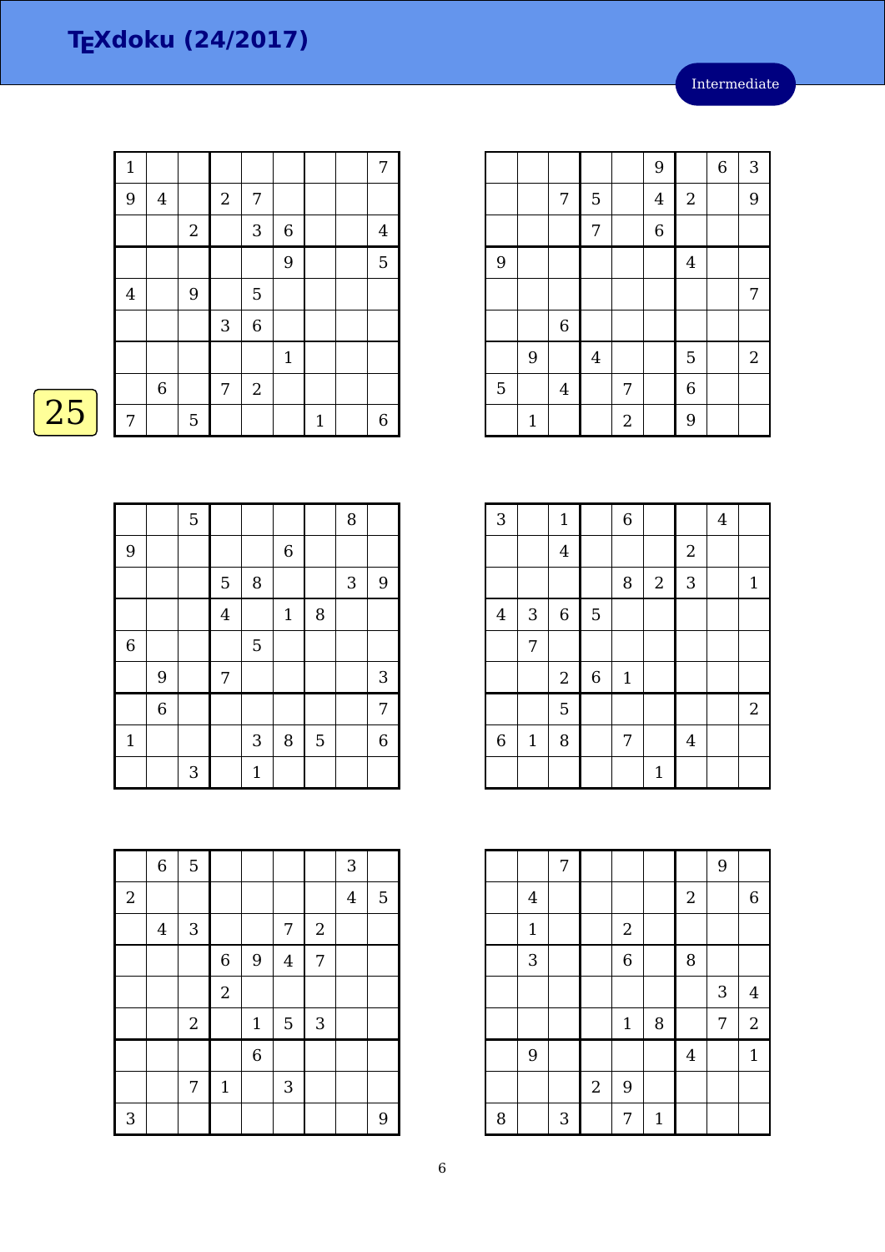|    | $\mathbf 1$    |                |                  |                           |                  |                |             | 7              |
|----|----------------|----------------|------------------|---------------------------|------------------|----------------|-------------|----------------|
|    | 9              | $\overline{4}$ |                  | $\boldsymbol{2}$          | 7                |                |             |                |
|    |                |                | $\boldsymbol{2}$ |                           | $\mathbf{3}$     | $\overline{6}$ |             | $\overline{4}$ |
|    |                |                |                  |                           |                  | 9              |             | $\overline{5}$ |
|    | $\overline{4}$ |                | 9                |                           | 5                |                |             |                |
|    |                |                |                  | $\ensuremath{\mathsf{3}}$ | $\,$ 6 $\,$      |                |             |                |
|    |                |                |                  |                           |                  | $\mathbf{1}$   |             |                |
|    |                | $\,6\,$        |                  | 7                         | $\boldsymbol{2}$ |                |             |                |
| 25 | 7              |                | 5                |                           |                  |                | $\mathbf 1$ | $\,$ 6 $\,$    |

| <b>Service Service</b> |  |
|------------------------|--|
|                        |  |

|                |                | $\overline{5}$ |                |              |                |   | 8          |                  |
|----------------|----------------|----------------|----------------|--------------|----------------|---|------------|------------------|
| 9              |                |                |                |              | $\overline{6}$ |   |            |                  |
|                |                |                | 5              | 8            |                |   | $\sqrt{3}$ | $\boldsymbol{9}$ |
|                |                |                | $\overline{4}$ |              | $\mathbf 1$    | 8 |            |                  |
| $\overline{6}$ |                |                |                | 5            |                |   |            |                  |
|                | 9              |                | 7              |              |                |   |            | 3                |
|                | $\overline{6}$ |                |                |              |                |   |            | 7                |
| $\mathbf{1}$   |                |                |                | 3            | 8              | 5 |            | $\overline{6}$   |
|                |                | 3              |                | $\mathbf{1}$ |                |   |            |                  |

|   |              |                |                |                  | 9              |                | 6 | 3          |
|---|--------------|----------------|----------------|------------------|----------------|----------------|---|------------|
|   |              | 7              | 5              |                  | $\overline{4}$ | $\sqrt{2}$     |   | 9          |
|   |              |                | 7              |                  | $\overline{6}$ |                |   |            |
| 9 |              |                |                |                  |                | $\overline{4}$ |   |            |
|   |              |                |                |                  |                |                |   | 7          |
|   |              | $\,$ 6 $\,$    |                |                  |                |                |   |            |
|   | 9            |                | $\overline{4}$ |                  |                | 5              |   | $\sqrt{2}$ |
| 5 |              | $\overline{4}$ |                | 7                |                | $\,$ 6 $\,$    |   |            |
|   | $\mathbf{1}$ |                |                | $\boldsymbol{2}$ |                | 9              |   |            |

| $\overline{3}$ |              | $\mathbf 1$ |                  | $\,$ 6 $\,$ |              |                  | $\overline{4}$ |                |
|----------------|--------------|-------------|------------------|-------------|--------------|------------------|----------------|----------------|
|                |              | $\bf 4$     |                  |             |              | $\boldsymbol{2}$ |                |                |
|                |              |             |                  | 8           | $\sqrt{2}$   | 3                |                | $\mathbf{1}$   |
| $\overline{4}$ | $\sqrt{3}$   | $\,$ 6 $\,$ | 5                |             |              |                  |                |                |
|                | 7            |             |                  |             |              |                  |                |                |
|                |              | $\sqrt{2}$  | $\boldsymbol{6}$ | $\mathbf 1$ |              |                  |                |                |
|                |              | 5           |                  |             |              |                  |                | $\overline{2}$ |
| $\,$ 6 $\,$    | $\mathbf{1}$ | 8           |                  | 7           |              | $\overline{4}$   |                |                |
|                |              |             |                  |             | $\mathbf{1}$ |                  |                |                |

|   |                         | $\overline{7}$ |            |                |              |                  | 9          |                  |
|---|-------------------------|----------------|------------|----------------|--------------|------------------|------------|------------------|
|   | $\overline{\mathbf{4}}$ |                |            |                |              | $\boldsymbol{2}$ |            | $\boldsymbol{6}$ |
|   | $\mathbf 1$             |                |            | $\sqrt{2}$     |              |                  |            |                  |
|   | 3                       |                |            | $\overline{6}$ |              | 8                |            |                  |
|   |                         |                |            |                |              |                  | $\sqrt{3}$ | $\overline{4}$   |
|   |                         |                |            | $1\,$          | 8            |                  | 7          | $\sqrt{2}$       |
|   | 9                       |                |            |                |              | $\overline{4}$   |            | $\mathbf{1}$     |
|   |                         |                | $\sqrt{2}$ | 9              |              |                  |            |                  |
| 8 |                         | 3              |            | 7              | $\mathbf{1}$ |                  |            |                  |

|            | $\overline{6}$ | $\overline{5}$ |                  |                |                |                | 3              |   |
|------------|----------------|----------------|------------------|----------------|----------------|----------------|----------------|---|
| $\sqrt{2}$ |                |                |                  |                |                |                | $\overline{4}$ | 5 |
|            | $\overline{4}$ | 3              |                  |                | 7              | $\sqrt{2}$     |                |   |
|            |                |                | $\boldsymbol{6}$ | 9              | $\overline{4}$ | $\overline{7}$ |                |   |
|            |                |                | $\boldsymbol{2}$ |                |                |                |                |   |
|            |                | $\sqrt{2}$     |                  | $\mathbf 1$    | 5              | 3              |                |   |
|            |                |                |                  | $\overline{6}$ |                |                |                |   |
|            |                | 7              | $\mathbf 1$      |                | 3              |                |                |   |
| 3          |                |                |                  |                |                |                |                | 9 |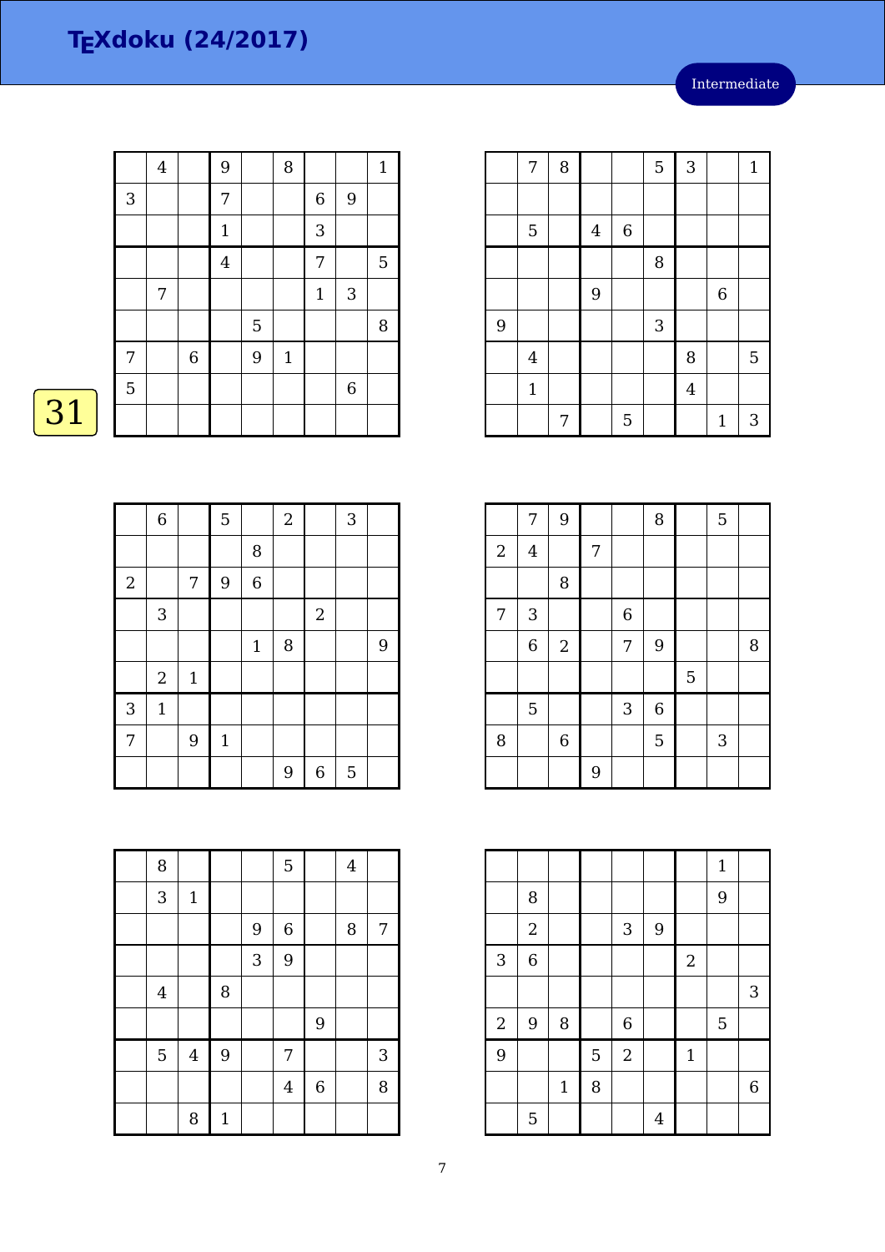Intermediate

|              | $\bf 4$ |             | 9              |   | 8            |                  |             | $\mathbf{1}$ |
|--------------|---------|-------------|----------------|---|--------------|------------------|-------------|--------------|
| $\mathbf{3}$ |         |             | $\overline{7}$ |   |              | $\boldsymbol{6}$ | 9           |              |
|              |         |             | $\mathbf 1$    |   |              | 3                |             |              |
|              |         |             | $\overline{4}$ |   |              | 7                |             | $\mathbf 5$  |
|              | 7       |             |                |   |              | $\mathbf{1}$     | 3           |              |
|              |         |             |                | 5 |              |                  |             | $\, 8$       |
| 7            |         | $\,$ 6 $\,$ |                | 9 | $\mathbf{1}$ |                  |             |              |
| 5            |         |             |                |   |              |                  | $\,$ 6 $\,$ |              |
|              |         |             |                |   |              |                  |             |              |

|            | $\,$ 6 $\,$      |              | 5           |             | $\sqrt{2}$ |                | $\sqrt{3}$ |   |
|------------|------------------|--------------|-------------|-------------|------------|----------------|------------|---|
|            |                  |              |             | 8           |            |                |            |   |
| $\sqrt{2}$ |                  | 7            | 9           | 6           |            |                |            |   |
|            | 3                |              |             |             |            | $\overline{2}$ |            |   |
|            |                  |              |             | $\mathbf 1$ | 8          |                |            | 9 |
|            | $\boldsymbol{2}$ | $\mathbf{1}$ |             |             |            |                |            |   |
| 3          | $\mathbf 1$      |              |             |             |            |                |            |   |
| 7          |                  | 9            | $\mathbf 1$ |             |            |                |            |   |
|            |                  |              |             |             | 9          | $\overline{6}$ | 5          |   |

| 8                       |             |              |   | $\overline{5}$ |             | $\overline{4}$ |   |
|-------------------------|-------------|--------------|---|----------------|-------------|----------------|---|
| 3                       | $\mathbf 1$ |              |   |                |             |                |   |
|                         |             |              | 9 | $\,$ 6 $\,$    |             | 8              | 7 |
|                         |             |              | 3 | 9              |             |                |   |
| $\overline{\mathbf{4}}$ |             | 8            |   |                |             |                |   |
|                         |             |              |   |                | 9           |                |   |
| 5                       | $\bf 4$     | 9            |   | 7              |             |                | 3 |
|                         |             |              |   | $\bf 4$        | $\,$ 6 $\,$ |                | 8 |
|                         | 8           | $\mathbf{1}$ |   |                |             |                |   |

|   | 7              | 8 |                |             | 5 | 3              |                  | $\mathbf{1}$ |
|---|----------------|---|----------------|-------------|---|----------------|------------------|--------------|
|   |                |   |                |             |   |                |                  |              |
|   | $\mathbf 5$    |   | $\overline{4}$ | $\,$ 6 $\,$ |   |                |                  |              |
|   |                |   |                |             | 8 |                |                  |              |
|   |                |   | 9              |             |   |                | $\boldsymbol{6}$ |              |
| 9 |                |   |                |             | 3 |                |                  |              |
|   | $\overline{4}$ |   |                |             |   | 8              |                  | 5            |
|   | $\mathbf{1}$   |   |                |             |   | $\overline{4}$ |                  |              |
|   |                | 7 |                | 5           |   |                | $\mathbf{1}$     | 3            |

|            | 7                         | 9           |   |                  | 8              |   | 5 |   |
|------------|---------------------------|-------------|---|------------------|----------------|---|---|---|
| $\sqrt{2}$ | $\overline{4}$            |             | 7 |                  |                |   |   |   |
|            |                           | 8           |   |                  |                |   |   |   |
| 7          | $\ensuremath{\mathsf{3}}$ |             |   | $\boldsymbol{6}$ |                |   |   |   |
|            | $\overline{6}$            | $\sqrt{2}$  |   | 7                | 9              |   |   | 8 |
|            |                           |             |   |                  |                | 5 |   |   |
|            | $\overline{5}$            |             |   | 3                | $\overline{6}$ |   |   |   |
| 8          |                           | $\,$ 6 $\,$ |   |                  | 5              |   | 3 |   |
|            |                           |             | 9 |                  |                |   |   |   |

|                |                |              |   |                  |   |              | $\mathbf{1}$ |                  |
|----------------|----------------|--------------|---|------------------|---|--------------|--------------|------------------|
|                | 8              |              |   |                  |   |              | 9            |                  |
|                | $\sqrt{2}$     |              |   | $\mathbf{3}$     | 9 |              |              |                  |
| $\overline{3}$ | $\overline{6}$ |              |   |                  |   | $\sqrt{2}$   |              |                  |
|                |                |              |   |                  |   |              |              | 3                |
| $\overline{a}$ | $\overline{9}$ | $\, 8$       |   | $\boldsymbol{6}$ |   |              | 5            |                  |
| $\overline{9}$ |                |              | 5 | $\sqrt{2}$       |   | $\mathbf{1}$ |              |                  |
|                |                | $\mathbf{1}$ | 8 |                  |   |              |              | $\boldsymbol{6}$ |
|                | 5              |              |   |                  | 4 |              |              |                  |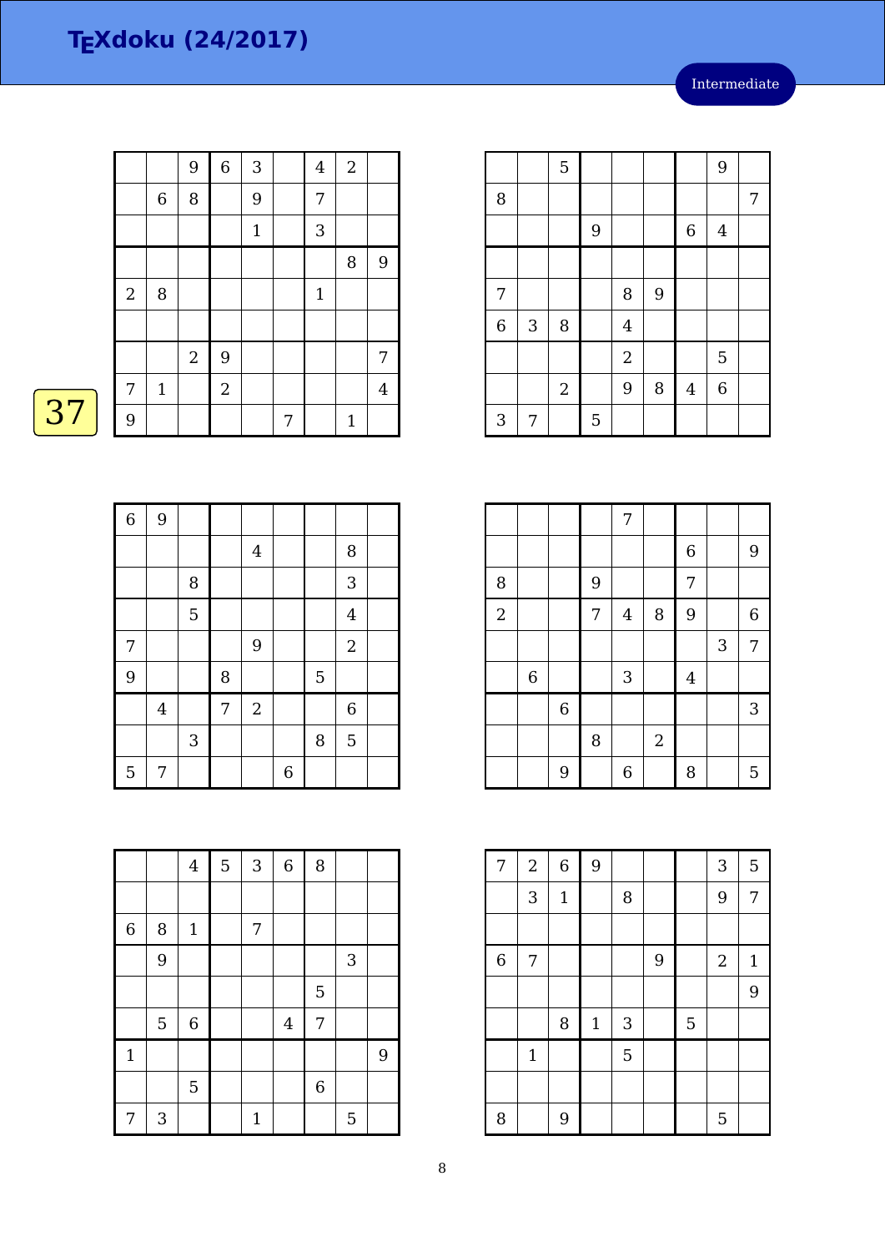|            |              | 9              | $\overline{6}$ | 3           |   | $\overline{\mathbf{4}}$ | $\overline{2}$ |                |
|------------|--------------|----------------|----------------|-------------|---|-------------------------|----------------|----------------|
|            | $\,$ 6 $\,$  | 8              |                | 9           |   | 7                       |                |                |
|            |              |                |                | $\mathbf 1$ |   | 3                       |                |                |
|            |              |                |                |             |   |                         | 8              | 9              |
| $\sqrt{2}$ | 8            |                |                |             |   | $1\,$                   |                |                |
|            |              |                |                |             |   |                         |                |                |
|            |              | $\overline{2}$ | 9              |             |   |                         |                | 7              |
| 7          | $\mathbf{1}$ |                | $\overline{2}$ |             |   |                         |                | $\overline{4}$ |
| 9          |              |                |                |             | 7 |                         | $\mathbf{1}$   |                |

 $\overline{37}$ 

| $\overline{6}$ | 9              |        |   |                |                |   |                |  |
|----------------|----------------|--------|---|----------------|----------------|---|----------------|--|
|                |                |        |   | $\overline{4}$ |                |   | 8              |  |
|                |                | $\, 8$ |   |                |                |   | 3              |  |
|                |                | 5      |   |                |                |   | $\overline{4}$ |  |
| $\overline{7}$ |                |        |   | 9              |                |   | $\sqrt{2}$     |  |
| 9              |                |        | 8 |                |                | 5 |                |  |
|                | $\overline{4}$ |        | 7 | $\sqrt{2}$     |                |   | $\,$ 6 $\,$    |  |
|                |                | 3      |   |                |                | 8 | $\overline{5}$ |  |
| $\mathbf 5$    | 7              |        |   |                | $\overline{6}$ |   |                |  |

|                |   | $\bf 4$     | 5 | $\sqrt{3}$  | $\overline{6}$ | 8              |   |   |
|----------------|---|-------------|---|-------------|----------------|----------------|---|---|
|                |   |             |   |             |                |                |   |   |
| $\overline{6}$ | 8 | $\mathbf 1$ |   | 7           |                |                |   |   |
|                | 9 |             |   |             |                |                | 3 |   |
|                |   |             |   |             |                | 5              |   |   |
|                | 5 | $\,6$       |   |             | $\overline{4}$ | 7              |   |   |
| $\mathbf{1}$   |   |             |   |             |                |                |   | 9 |
|                |   | 5           |   |             |                | $\overline{6}$ |   |   |
| 7              | 3 |             |   | $\mathbf 1$ |                |                | 5 |   |

|                |   | 5              |   |                |   |                | 9              |   |
|----------------|---|----------------|---|----------------|---|----------------|----------------|---|
| 8              |   |                |   |                |   |                |                | 7 |
|                |   |                | 9 |                |   | $\,$ 6 $\,$    | $\overline{4}$ |   |
|                |   |                |   |                |   |                |                |   |
| 7              |   |                |   | 8              | 9 |                |                |   |
| $\overline{6}$ | 3 | 8              |   | $\overline{4}$ |   |                |                |   |
|                |   |                |   | $\sqrt{2}$     |   |                | 5              |   |
|                |   | $\overline{2}$ |   | 9              | 8 | $\overline{4}$ | $\overline{6}$ |   |
| 3              | 7 |                | 5 |                |   |                |                |   |

|                |             |             |   | 7                |                  |                  |   |                  |
|----------------|-------------|-------------|---|------------------|------------------|------------------|---|------------------|
|                |             |             |   |                  |                  | $\boldsymbol{6}$ |   | 9                |
| 8              |             |             | 9 |                  |                  | $\overline{7}$   |   |                  |
| $\overline{2}$ |             |             | 7 | $\overline{4}$   | 8                | 9                |   | $\boldsymbol{6}$ |
|                |             |             |   |                  |                  |                  | 3 | 7                |
|                | $\,$ 6 $\,$ |             |   | $\sqrt{3}$       |                  | $\bf 4$          |   |                  |
|                |             | $\,$ 6 $\,$ |   |                  |                  |                  |   | 3                |
|                |             |             | 8 |                  | $\boldsymbol{2}$ |                  |   |                  |
|                |             | 9           |   | $\boldsymbol{6}$ |                  | 8                |   | 5                |

| 7              | $\overline{2}$ | $\,$ 6 $\,$ | 9     |            |   |   | 3              | 5            |
|----------------|----------------|-------------|-------|------------|---|---|----------------|--------------|
|                | 3              | $\mathbf 1$ |       | 8          |   |   | 9              | 7            |
|                |                |             |       |            |   |   |                |              |
| $\overline{6}$ | 7              |             |       |            | 9 |   | $\overline{2}$ | $\mathbf{1}$ |
|                |                |             |       |            |   |   |                | 9            |
|                |                | 8           | $1\,$ | $\sqrt{3}$ |   | 5 |                |              |
|                | $\mathbf{1}$   |             |       | 5          |   |   |                |              |
|                |                |             |       |            |   |   |                |              |
| 8              |                | 9           |       |            |   |   | 5              |              |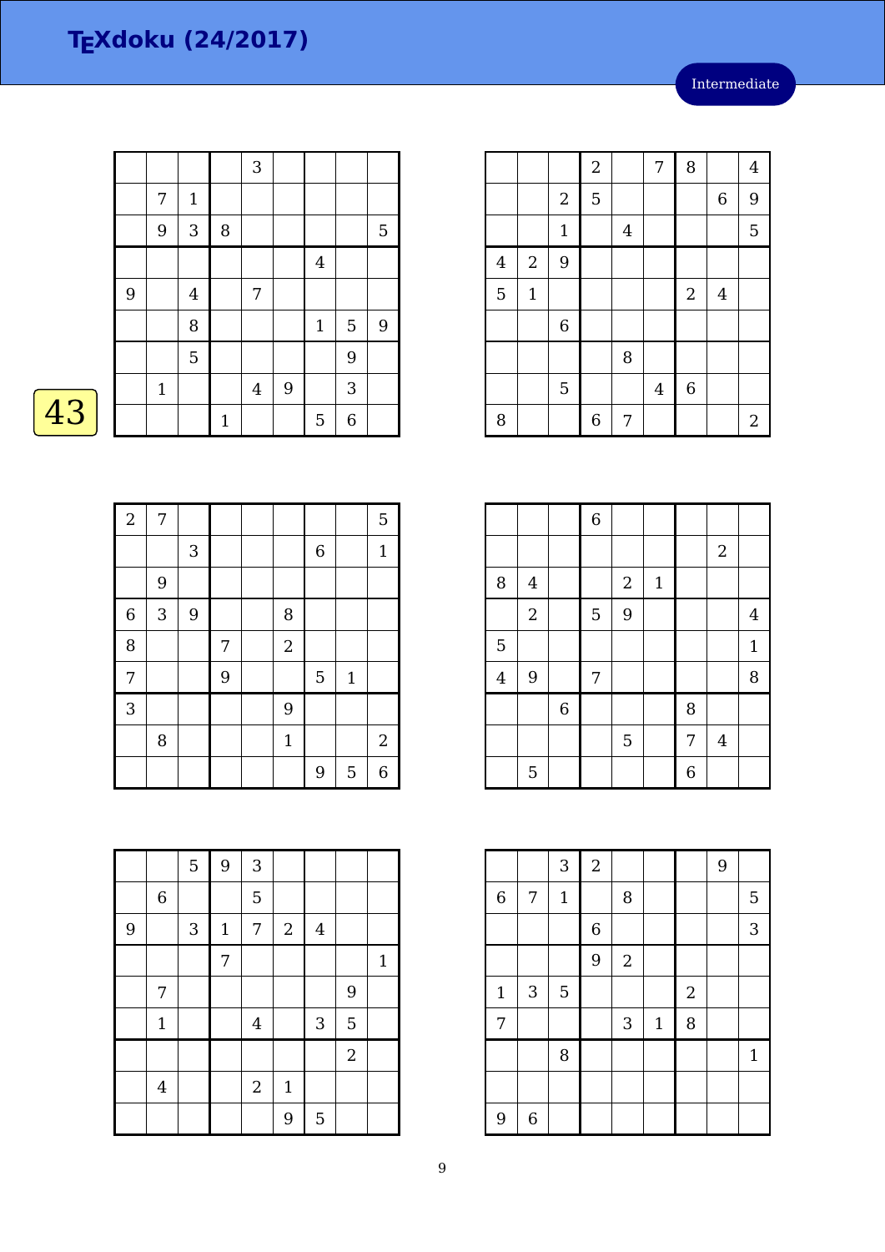|   |             |                |              | 3              |                |              |   |                  |
|---|-------------|----------------|--------------|----------------|----------------|--------------|---|------------------|
|   | 7           | $\mathbf{1}$   |              |                |                |              |   |                  |
|   | 9           | $\sqrt{3}$     | $\, 8$       |                |                |              |   | 5                |
|   |             |                |              |                |                | $\bf 4$      |   |                  |
| 9 |             | $\overline{4}$ |              | 7              |                |              |   |                  |
|   |             | 8              |              |                |                | $\mathbf{1}$ | 5 | $\boldsymbol{9}$ |
|   |             | $\overline{5}$ |              |                |                |              | 9 |                  |
|   | $\mathbf 1$ |                |              | $\overline{4}$ | $\overline{9}$ |              | 3 |                  |
|   |             |                | $\mathbf{1}$ |                |                | 5            | 6 |                  |

 $\overline{43}$ 

| $\overline{2}$ | 7 |   |   |                |             |              | 5            |
|----------------|---|---|---|----------------|-------------|--------------|--------------|
|                |   | 3 |   |                | $\,$ 6 $\,$ |              | $\mathbf{1}$ |
|                | 9 |   |   |                |             |              |              |
| $\overline{6}$ | 3 | 9 |   | 8              |             |              |              |
| 8              |   |   | 7 | $\overline{2}$ |             |              |              |
| 7              |   |   | 9 |                | 5           | $\mathbf{1}$ |              |
| 3              |   |   |   | 9              |             |              |              |
|                | 8 |   |   | $\mathbf{1}$   |             |              | $\sqrt{2}$   |
|                |   |   |   |                | 9           | 5            | 6            |

|                |              |              | $\sqrt{2}$  |         | 7              | 8                |                | $\overline{4}$   |
|----------------|--------------|--------------|-------------|---------|----------------|------------------|----------------|------------------|
|                |              | $\sqrt{2}$   | 5           |         |                |                  | $\,$ 6 $\,$    | 9                |
|                |              | $\mathbf{1}$ |             | $\bf 4$ |                |                  |                | 5                |
| $\overline{4}$ | $\sqrt{2}$   | 9            |             |         |                |                  |                |                  |
| 5              | $\mathbf{1}$ |              |             |         |                | $\boldsymbol{2}$ | $\overline{4}$ |                  |
|                |              | $\,6$        |             |         |                |                  |                |                  |
|                |              |              |             | 8       |                |                  |                |                  |
|                |              | 5            |             |         | $\overline{4}$ | $\,$ 6 $\,$      |                |                  |
| 8              |              |              | $\,$ 6 $\,$ | 7       |                |                  |                | $\boldsymbol{2}$ |

|                |                |             | $\overline{6}$ |            |              |                |                |                |
|----------------|----------------|-------------|----------------|------------|--------------|----------------|----------------|----------------|
|                |                |             |                |            |              |                | $\overline{2}$ |                |
| 8              | $\overline{4}$ |             |                | $\sqrt{2}$ | $\mathbf{1}$ |                |                |                |
|                | $\sqrt{2}$     |             | 5              | 9          |              |                |                | $\overline{4}$ |
| 5              |                |             |                |            |              |                |                | $\mathbf{1}$   |
| $\overline{4}$ | $9$            |             | 7              |            |              |                |                | 8              |
|                |                | $\,$ 6 $\,$ |                |            |              | 8              |                |                |
|                |                |             |                | 5          |              | $\overline{7}$ | $\overline{4}$ |                |
|                | 5              |             |                |            |              | 6              |                |                |

|                  |             | 3              | $\sqrt{2}$     |            |             |                  | 9 |             |
|------------------|-------------|----------------|----------------|------------|-------------|------------------|---|-------------|
| $\boldsymbol{6}$ | 7           | $\mathbf{1}$   |                | 8          |             |                  |   | 5           |
|                  |             |                | $\overline{6}$ |            |             |                  |   | 3           |
|                  |             |                | 9              | $\sqrt{2}$ |             |                  |   |             |
| $1\,$            | 3           | $\overline{5}$ |                |            |             | $\boldsymbol{2}$ |   |             |
| 7                |             |                |                | 3          | $\mathbf 1$ | 8                |   |             |
|                  |             | 8              |                |            |             |                  |   | $\mathbf 1$ |
|                  |             |                |                |            |             |                  |   |             |
| 9                | $\,$ 6 $\,$ |                |                |            |             |                  |   |             |

|   |                | 5          | 9              | 3                |              |         |                |              |
|---|----------------|------------|----------------|------------------|--------------|---------|----------------|--------------|
|   | $\,$ 6 $\,$    |            |                | 5                |              |         |                |              |
| 9 |                | $\sqrt{3}$ | $\mathbf 1$    | 7                | $\sqrt{2}$   | $\bf 4$ |                |              |
|   |                |            | $\overline{7}$ |                  |              |         |                | $\mathbf{1}$ |
|   | 7              |            |                |                  |              |         | 9              |              |
|   | $\mathbf{1}$   |            |                | $\overline{4}$   |              | 3       | 5              |              |
|   |                |            |                |                  |              |         | $\overline{2}$ |              |
|   | $\overline{4}$ |            |                | $\boldsymbol{2}$ | $\mathbf{1}$ |         |                |              |
|   |                |            |                |                  | 9            | 5       |                |              |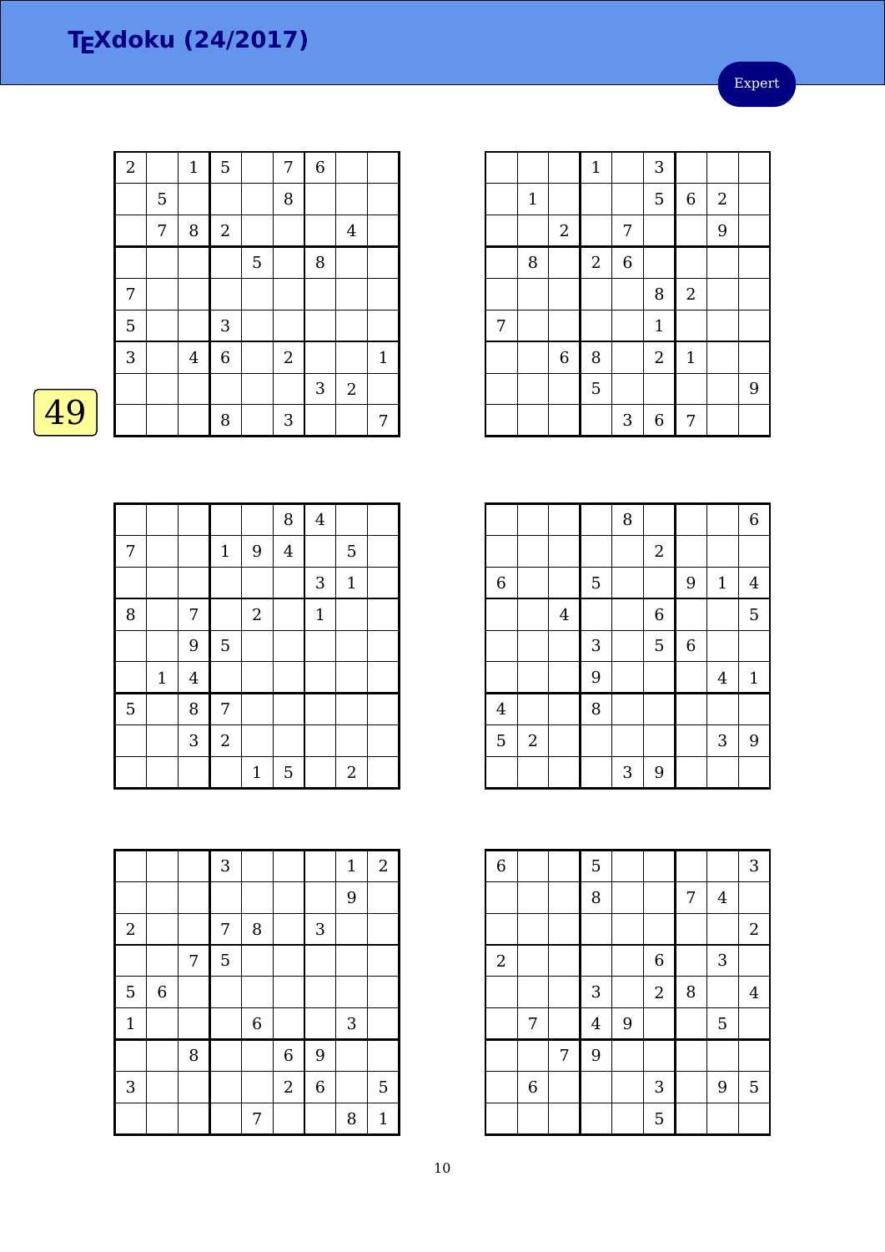Expert

| $\overline{2}$ |   | $\mathbf{1}$   | $\mathbf 5$ |   | 7          | $\overline{6}$ |                  |              |
|----------------|---|----------------|-------------|---|------------|----------------|------------------|--------------|
|                | 5 |                |             |   | 8          |                |                  |              |
|                | 7 | 8              | $\sqrt{2}$  |   |            |                | $\overline{4}$   |              |
|                |   |                |             | 5 |            | 8              |                  |              |
| $\overline{7}$ |   |                |             |   |            |                |                  |              |
| 5              |   |                | 3           |   |            |                |                  |              |
| $\overline{3}$ |   | $\overline{4}$ | $\,$ 6 $\,$ |   | $\sqrt{2}$ |                |                  | $\mathbf{1}$ |
|                |   |                |             |   |            | 3              | $\boldsymbol{2}$ |              |
|                |   |                | 8           |   | 3          |                |                  | 7            |
|                |   |                |             |   |            |                |                  |              |

|                |             |                |             |             | 8              | $\overline{4}$ |                  |  |
|----------------|-------------|----------------|-------------|-------------|----------------|----------------|------------------|--|
| 7              |             |                | $\mathbf 1$ | 9           | $\overline{4}$ |                | 5                |  |
|                |             |                |             |             |                | 3              | $\mathbf{1}$     |  |
| 8              |             | 7              |             | $\sqrt{2}$  |                | $\mathbf 1$    |                  |  |
|                |             | 9              | 5           |             |                |                |                  |  |
|                | $\mathbf 1$ | $\overline{4}$ |             |             |                |                |                  |  |
| $\overline{5}$ |             | 8              | 7           |             |                |                |                  |  |
|                |             | 3              | $\sqrt{2}$  |             |                |                |                  |  |
|                |             |                |             | $\mathbf 1$ | 5              |                | $\boldsymbol{2}$ |  |

|              |             |                  | 3 |         |            |                  | $\mathbf{1}$ | $\mathbf{2}$ |
|--------------|-------------|------------------|---|---------|------------|------------------|--------------|--------------|
|              |             |                  |   |         |            |                  | 9            |              |
| $\sqrt{2}$   |             |                  | 7 | 8       |            | $\sqrt{3}$       |              |              |
|              |             | $\boldsymbol{7}$ | 5 |         |            |                  |              |              |
| 5            | $\,$ 6 $\,$ |                  |   |         |            |                  |              |              |
| $\mathbf{1}$ |             |                  |   | $\,6\,$ |            |                  | 3            |              |
|              |             | 8                |   |         | 6          | 9                |              |              |
| $\mathbf{3}$ |             |                  |   |         | $\sqrt{2}$ | $\boldsymbol{6}$ |              | 5            |
|              |             |                  |   | 7       |            |                  | 8            | $\mathbf{1}$ |

|   |             |             | $\mathbf 1$    |                | 3            |             |                  |   |
|---|-------------|-------------|----------------|----------------|--------------|-------------|------------------|---|
|   | $\mathbf 1$ |             |                |                | 5            | $\,6\,$     | $\boldsymbol{2}$ |   |
|   |             | $\sqrt{2}$  |                | 7              |              |             | 9                |   |
|   | 8           |             | $\overline{2}$ | $\overline{6}$ |              |             |                  |   |
|   |             |             |                |                | 8            | $\sqrt{2}$  |                  |   |
| 7 |             |             |                |                | $\mathbf{1}$ |             |                  |   |
|   |             | $\,$ 6 $\,$ | 8              |                | $\sqrt{2}$   | $\mathbf 1$ |                  |   |
|   |             |             | 5              |                |              |             |                  | 9 |
|   |             |             |                | 3              | 6            | 7           |                  |   |

|                |            |                |            | 8 |                |                  |                | $\boldsymbol{6}$ |
|----------------|------------|----------------|------------|---|----------------|------------------|----------------|------------------|
|                |            |                |            |   | $\sqrt{2}$     |                  |                |                  |
| $\overline{6}$ |            |                | 5          |   |                | 9                | $\mathbf{1}$   | $\overline{4}$   |
|                |            | $\overline{4}$ |            |   | $\overline{6}$ |                  |                | 5                |
|                |            |                | $\sqrt{3}$ |   | 5              | $\boldsymbol{6}$ |                |                  |
|                |            |                | 9          |   |                |                  | $\overline{4}$ | $\mathbf{1}$     |
| $\overline{4}$ |            |                | 8          |   |                |                  |                |                  |
| 5              | $\sqrt{2}$ |                |            |   |                |                  | 3              | 9                |
|                |            |                |            | 3 | 9              |                  |                |                  |

| $\overline{6}$ |                |   | 5                       |   |                |   |         | 3              |
|----------------|----------------|---|-------------------------|---|----------------|---|---------|----------------|
|                |                |   | 8                       |   |                | 7 | $\bf 4$ |                |
|                |                |   |                         |   |                |   |         | $\overline{2}$ |
| $\overline{2}$ |                |   |                         |   | $\,$ 6 $\,$    |   | 3       |                |
|                |                |   | $\mathbf{3}$            |   | $\overline{2}$ | 8 |         | $\overline{4}$ |
|                | 7              |   | $\overline{\mathbf{4}}$ | 9 |                |   | 5       |                |
|                |                | 7 | 9                       |   |                |   |         |                |
|                | $\overline{6}$ |   |                         |   | 3              |   | 9       | 5              |
|                |                |   |                         |   | 5              |   |         |                |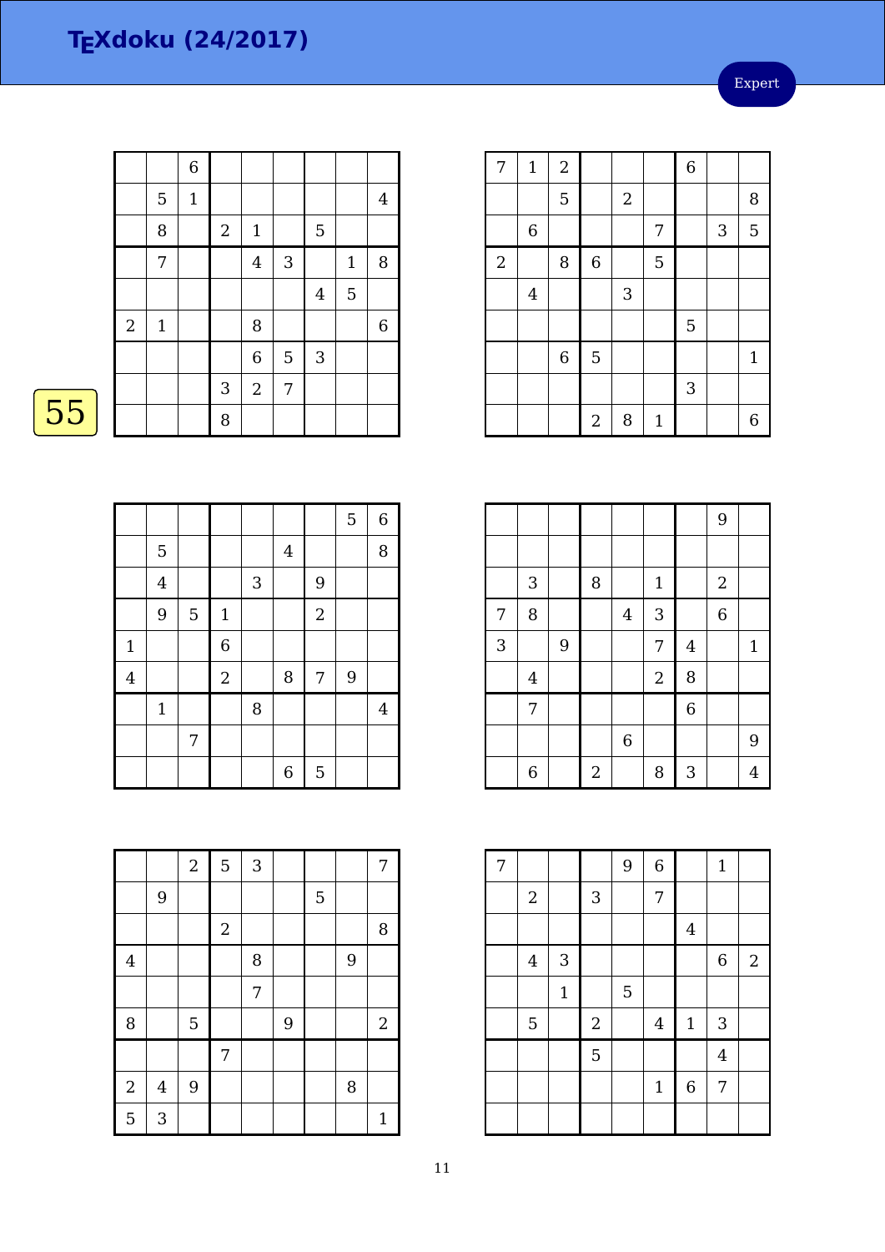Expert

|    |                  |              | $\overline{6}$ |                  |                |            |              |              |                |
|----|------------------|--------------|----------------|------------------|----------------|------------|--------------|--------------|----------------|
|    |                  | 5            | $\mathbf{1}$   |                  |                |            |              |              | $\overline{4}$ |
|    |                  | $\, 8$       |                | $\boldsymbol{2}$ | $\mathbf{1}$   |            | 5            |              |                |
|    |                  | 7            |                |                  | $\overline{4}$ | $\sqrt{3}$ |              | $\mathbf{1}$ | 8              |
|    |                  |              |                |                  |                |            | 4            | 5            |                |
|    | $\boldsymbol{2}$ | $\mathbf{1}$ |                |                  | 8              |            |              |              | 6              |
|    |                  |              |                |                  | $\overline{6}$ | 5          | $\mathbf{3}$ |              |                |
|    |                  |              |                | 3                | $\overline{2}$ | 7          |              |              |                |
| 55 |                  |              |                | 8                |                |            |              |              |                |
|    |                  |              |                |                  |                |            |              |              |                |

|                |                |   |                |   |                |                | 5 | $\,6\,$        |
|----------------|----------------|---|----------------|---|----------------|----------------|---|----------------|
|                | 5              |   |                |   | $\overline{4}$ |                |   | 8              |
|                | $\overline{4}$ |   |                | 3 |                | 9              |   |                |
|                | 9              | 5 | $\mathbf 1$    |   |                | $\overline{2}$ |   |                |
| $\mathbf 1$    |                |   | $\overline{6}$ |   |                |                |   |                |
| $\overline{4}$ |                |   | $\overline{2}$ |   | 8              | 7              | 9 |                |
|                | $\mathbf 1$    |   |                | 8 |                |                |   | $\overline{4}$ |
|                |                | 7 |                |   |                |                |   |                |
|                |                |   |                |   | 6              | 5              |   |                |

|                  |         | $\sqrt{2}$ | 5          | $\mathbf{3}$ |   |   |   | 7            |
|------------------|---------|------------|------------|--------------|---|---|---|--------------|
|                  | 9       |            |            |              |   | 5 |   |              |
|                  |         |            | $\sqrt{2}$ |              |   |   |   | 8            |
| $\overline{4}$   |         |            |            | 8            |   |   | 9 |              |
|                  |         |            |            | 7            |   |   |   |              |
| 8                |         | 5          |            |              | 9 |   |   | $\sqrt{2}$   |
|                  |         |            | 7          |              |   |   |   |              |
| $\boldsymbol{2}$ | $\bf 4$ | 9          |            |              |   |   | 8 |              |
| 5                | 3       |            |            |              |   |   |   | $\mathbf{1}$ |

| 7              | $\mathbf{1}$   | $\sqrt{2}$     |             |                  |              | $\overline{6}$ |   |              |
|----------------|----------------|----------------|-------------|------------------|--------------|----------------|---|--------------|
|                |                | 5              |             | $\boldsymbol{2}$ |              |                |   | 8            |
|                | $\,6\,$        |                |             |                  | 7            |                | 3 | 5            |
| $\overline{2}$ |                | 8              | $\,$ 6 $\,$ |                  | 5            |                |   |              |
|                | $\overline{4}$ |                |             | 3                |              |                |   |              |
|                |                |                |             |                  |              | 5              |   |              |
|                |                | $\overline{6}$ | 5           |                  |              |                |   | $\mathbf{1}$ |
|                |                |                |             |                  |              | 3              |   |              |
|                |                |                | $\sqrt{2}$  | 8                | $\mathbf{1}$ |                |   | 6            |

|   |                |   |                |                  |                |                | 9              |              |
|---|----------------|---|----------------|------------------|----------------|----------------|----------------|--------------|
|   |                |   |                |                  |                |                |                |              |
|   | 3              |   | 8              |                  | $\mathbf{1}$   |                | $\sqrt{2}$     |              |
| 7 | 8              |   |                | $\overline{4}$   | 3              |                | $\overline{6}$ |              |
| 3 |                | 9 |                |                  | 7              | $\overline{4}$ |                | $\mathbf{1}$ |
|   | $\overline{4}$ |   |                |                  | $\overline{c}$ | 8              |                |              |
|   | 7              |   |                |                  |                | $\overline{6}$ |                |              |
|   |                |   |                | $\boldsymbol{6}$ |                |                |                | 9            |
|   | 6              |   | $\overline{2}$ |                  | 8              | 3              |                | 4            |

| 7 |                |              |              | $\overline{9}$ | $\overline{6}$ |             | $\mathbf{1}$     |            |
|---|----------------|--------------|--------------|----------------|----------------|-------------|------------------|------------|
|   | $\sqrt{2}$     |              | $\mathbf{3}$ |                | 7              |             |                  |            |
|   |                |              |              |                |                | $\bf 4$     |                  |            |
|   | $\bf 4$        | $\mathbf{3}$ |              |                |                |             | $\boldsymbol{6}$ | $\sqrt{2}$ |
|   |                | $\mathbf{1}$ |              | 5              |                |             |                  |            |
|   | $\overline{5}$ |              | $\sqrt{2}$   |                | $\overline{4}$ | $1\,$       | 3                |            |
|   |                |              | 5            |                |                |             | $\overline{4}$   |            |
|   |                |              |              |                | $\mathbf{1}$   | $\,$ 6 $\,$ | 7                |            |
|   |                |              |              |                |                |             |                  |            |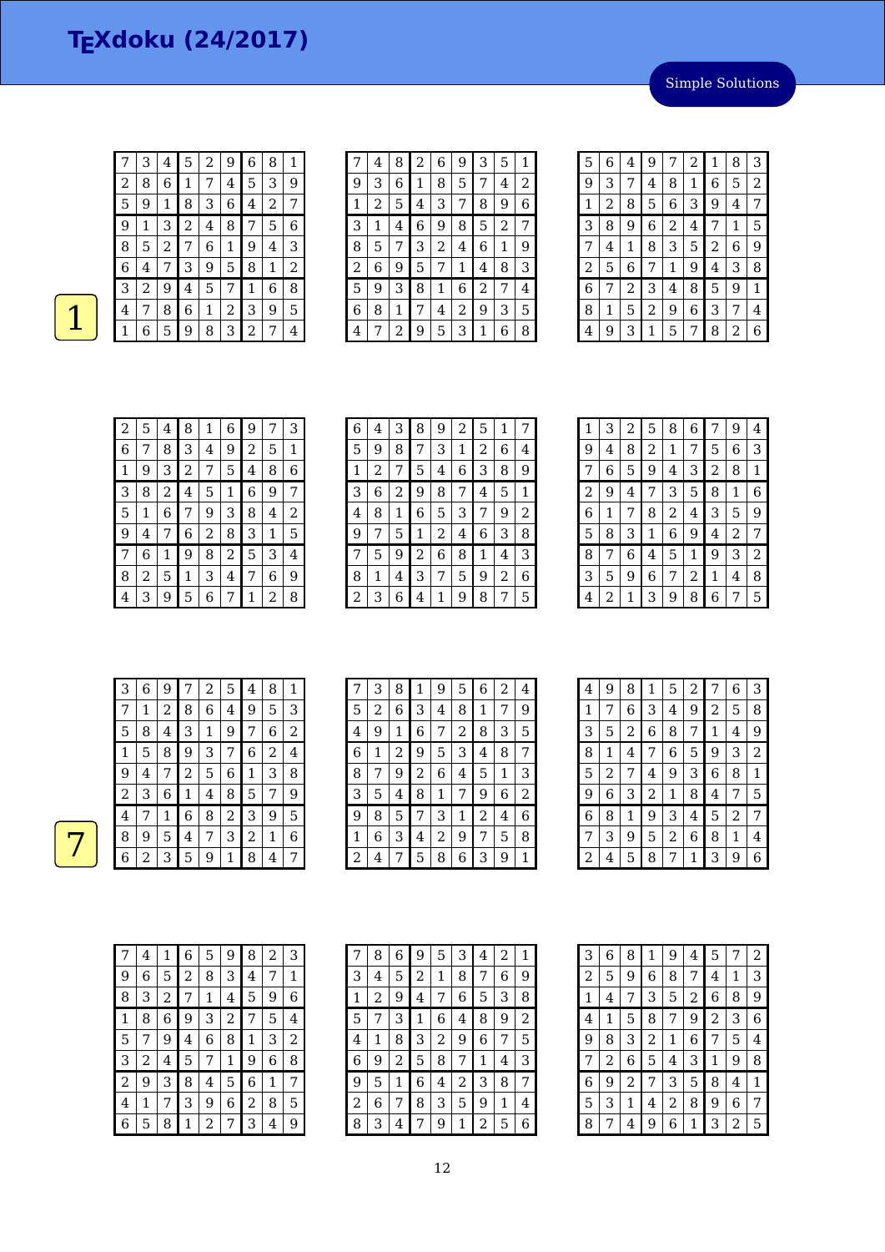| 7 | 3 | 4 | 5 | $\overline{\mathbf{c}}$ | 9              | 6 | 8              | 1 |
|---|---|---|---|-------------------------|----------------|---|----------------|---|
| 2 | 8 | 6 | 1 | 7                       | 4              | 5 | 3              | 9 |
| 5 | 9 | 1 | 8 | 3                       | 6              | 4 | $\overline{2}$ | 7 |
| 9 | 1 | 3 | 2 | 4                       | 8              | 7 | 5              | 6 |
| 8 | 5 | 2 | 7 | 6                       | 1              | 9 | 4              | 3 |
| 6 | 4 | 7 | 3 | 9                       | 5              | 8 | 1              | 2 |
| 3 | 2 | 9 | 4 | 5                       | 7              | 1 | 6              | 8 |
| 4 | 7 | 8 | 6 | 1                       | $\overline{2}$ | 3 | 9              | 5 |
|   | 6 | 5 | 9 | 8                       | 3              | 2 | 7              | 4 |

|                | 4 | 8 | 2 | 6 | 9 | 3              | 5 | 1 |
|----------------|---|---|---|---|---|----------------|---|---|
| 9              | 3 | 6 | 1 | 8 | 5 | 7              | 4 | 2 |
| 1              | 2 | 5 | 4 | 3 | 7 | 8              | 9 | 6 |
| 3              | 1 | 4 | 6 | 9 | 8 | 5              | 2 | 7 |
| 8              | 5 | 7 | 3 | 2 | 4 | 6              | 1 | 9 |
| $\overline{2}$ | 6 | 9 | 5 | 7 | 1 | 4              | 8 | 3 |
| 5              | 9 | 3 | 8 | 1 | 6 | $\overline{c}$ | 7 | 4 |
| 6              | 8 | 1 | 7 | 4 | 2 | 9              | З | 5 |
| 4              | 7 | 2 | 9 | 5 | 3 |                | 6 | 8 |

| 5 | 6 | 4 | 9 | 7              | 2              | 1 | 8 | 3 |
|---|---|---|---|----------------|----------------|---|---|---|
| 9 | 3 | 7 | 4 | 8              | 1              | 6 | 5 | 2 |
| 1 | 2 | 8 | 5 | 6              | З              | 9 | 4 | 7 |
| 3 | 8 | 9 | 6 | $\overline{c}$ | $\overline{4}$ | 7 | 1 | 5 |
| 7 | 4 | 1 | 8 | 3              | 5              | 2 | 6 | 9 |
| 2 | 5 | 6 | 7 | 1              | 9              | 4 | 3 | 8 |
| 6 | 7 | 2 | 3 | 4              | 8              | 5 | 9 | 1 |
| 8 | 1 | 5 | 2 | 9              | 6              | 3 | 7 | 4 |
| 4 | 9 | 3 | 1 | 5              | 7              | 8 | 2 | 6 |

| 2           | 5 | 4 | 8 | 1 | 6 | 9 | 7 | З |
|-------------|---|---|---|---|---|---|---|---|
| 6           |   | 8 | 3 | 4 | 9 | 2 | 5 | 1 |
| $\mathbf 1$ | 9 | 3 | 2 | 7 | 5 | 4 | 8 | 6 |
| 3           | 8 | 2 | 4 | 5 | 1 | 6 | 9 | 7 |
| 5           | 1 | 6 | 7 | 9 | 3 | 8 | 4 | 2 |
| 9           | 4 | 7 | 6 | 2 | 8 | 3 | 1 | 5 |
| 7           | 6 | 1 | 9 | 8 | 2 | 5 | 3 | 4 |
| 8           | 2 | 5 | 1 | 3 | 4 | 7 | 6 | 9 |
| 4           | З | 9 | 5 | 6 | 7 | 1 | 2 | 8 |

| 6 | 4 | З | 8 | 9 | 2 | 5 | 1 |   |
|---|---|---|---|---|---|---|---|---|
| 5 | 9 | 8 | 7 | 3 | 1 | 2 | 6 | 4 |
| 1 | 2 | 7 | 5 | 4 | 6 | 3 | 8 | 9 |
| 3 | 6 | 2 | 9 | 8 | 7 | 4 | 5 | 1 |
| 4 | 8 | 1 | 6 | 5 | 3 | 7 | 9 | 2 |
| 9 | 7 | 5 | 1 | 2 | 4 | 6 | 3 | 8 |
| 7 | 5 | 9 | 2 | 6 | 8 | 1 | 4 | 3 |
| 8 | 1 | 4 | 3 | 7 | 5 | 9 | 2 | 6 |
| 2 | З | 6 | 4 | 1 | 9 | 8 | 7 | 5 |

| 3 | $\overline{c}$ | 5 | 8              | 6 | 7 | 9 | 4 |
|---|----------------|---|----------------|---|---|---|---|
| 4 | 8              | 2 | 1              | 7 | 5 | 6 | 3 |
| 6 | 5              | 9 | 4              | 3 | 2 | 8 | 1 |
| 9 | 4              | 7 | 3              | 5 | 8 | 1 | 6 |
| 1 | 7              | 8 | $\overline{2}$ | 4 | 3 | 5 | 9 |
| 8 | 3              | 1 | 6              | 9 | 4 | 2 | 7 |
| 7 | 6              | 4 | 5              | 1 | 9 | 3 | 2 |
| 5 | 9              | 6 | 7              | 2 | 1 | 4 | 8 |
| 2 | 1              | 3 | 9              | 8 | 6 | 7 | 5 |
|   |                |   |                |   |   |   |   |

| З              | 6 | 9                       | 7              | 2 | 5 | 4           | 8 | 1 |
|----------------|---|-------------------------|----------------|---|---|-------------|---|---|
| 7              | 1 | $\overline{\mathbf{c}}$ | 8              | 6 | 4 | 9           | 5 | 3 |
| 5              | 8 | 4                       | 3              | 1 | 9 | 7           | 6 | 2 |
| 1              | 5 | 8                       | 9              | 3 | 7 | 6           | 2 | 4 |
| 9              | 4 | 7                       | $\overline{c}$ | 5 | 6 | $\mathbf 1$ | 3 | 8 |
| $\overline{2}$ | 3 | 6                       | $1\,$          | 4 | 8 | 5           | 7 | 9 |
| 4              | 7 | 1                       | 6              | 8 | 2 | З           | 9 | 5 |
| 8              | 9 | 5                       | 4              | 7 | 3 | 2           | 1 | 6 |
| 6              | 2 | 3                       | 5              | 9 | 1 | 8           | 4 | 7 |

| 7 | 3 | 8 | 1 | 9 | 5 | 6 | 2 | 4 |
|---|---|---|---|---|---|---|---|---|
| 5 | 2 | 6 | 3 | 4 | 8 | 1 | 7 | 9 |
| 4 | 9 | 1 | 6 | 7 | 2 | 8 | 3 | 5 |
| 6 | 1 | 2 | 9 | 5 | 3 | 4 | 8 | 7 |
| 8 | 7 | 9 | 2 | 6 | 4 | 5 | 1 | 3 |
| 3 | 5 | 4 | 8 | 1 | 7 | 9 | 6 | 2 |
| 9 | 8 | 5 | 7 | 3 | 1 | 2 | 4 | 6 |
| 1 | 6 | 3 | 4 | 2 | 9 | 7 | 5 | 8 |
| 2 | 4 | 7 | 5 | 8 | 6 | 3 | 9 | 1 |

| 4              | 9           | 8              | 1              | 5              | 2 | 7            | 6              | 3              |
|----------------|-------------|----------------|----------------|----------------|---|--------------|----------------|----------------|
| 1              | 7           | 6              | 3              | 4              | 9 | 2            | 5              | 8              |
| 3              | 5           | $\overline{c}$ | 6              | 8              | 7 | $\mathbf{1}$ | 4              | 9              |
| 8              | 1           | 4              | 7              | 6              | 5 | 9            | 3              | $\overline{2}$ |
| 5              | 2           | 7              | 4              | 9              | 3 | 6            | 8              | $\mathbf 1$    |
| 9              | $\,$ 6 $\,$ | 3              | $\overline{c}$ | 1              | 8 | 4            | 7              | 5              |
| 6              | 8           | 1              | 9              | 3              | 4 | 5            | $\overline{2}$ | 7              |
| 7              | 3           | 9              | 5              | $\overline{c}$ | 6 | 8            | 1              | 4              |
| $\overline{c}$ | 4           | 5              | 8              | 7              | 1 | 3            | 9              | 6              |

|   | 4 | 1 | 6 | 5 | 9 | 8 | 2 | З |
|---|---|---|---|---|---|---|---|---|
| 9 | 6 | 5 | 2 | 8 | З | 4 | 7 | 1 |
| 8 | З | 2 | 7 | 1 | 4 | 5 | 9 | 6 |
| 1 | 8 | 6 | 9 | 3 | 2 | 7 | 5 | 4 |
| 5 | 7 | 9 | 4 | 6 | 8 | 1 | 3 | 2 |
| 3 | 2 | 4 | 5 | 7 | 1 | 9 | 6 | 8 |
| 2 | 9 | 3 | 8 | 4 | 5 | 6 | 1 | 7 |
| 4 | 1 | 7 | 3 | 9 | 6 | 2 | 8 | 5 |
| 6 | 5 | 8 | 1 | 2 | 7 | 3 | 4 | 9 |

|   | 8 | 6 | 9 | 5 | З | 4 | 2 | 1 |
|---|---|---|---|---|---|---|---|---|
| З | 4 | 5 | 2 | 1 | 8 | 7 | 6 | 9 |
| 1 | 2 | 9 | 4 | 7 | 6 | 5 | 3 | 8 |
| 5 |   | З | 1 | 6 | 4 | 8 | 9 | 2 |
| 4 | 1 | 8 | З | 2 | 9 | 6 | 7 | 5 |
| 6 | 9 | 2 | 5 | 8 | 7 | 1 | 4 | 3 |
| 9 | 5 | 1 | 6 | 4 | 2 | 3 | 8 | 7 |
| 2 | 6 | 7 | 8 | 3 | 5 | 9 | 1 | 4 |
| 8 | З | 4 |   | 9 | 1 | 2 | 5 | 6 |

| 3              | 6 | 8 | 1              | 9 | 4 | 5              | 7 | 2 |
|----------------|---|---|----------------|---|---|----------------|---|---|
| $\overline{c}$ | 5 | 9 | 6              | 8 | 7 | 4              | 1 | 3 |
| 1              | 4 | 7 | 3              | 5 | 2 | 6              | 8 | 9 |
| 4              | 1 | 5 | 8              | 7 | 9 | $\overline{c}$ | 3 | 6 |
| 9              | 8 | 3 | $\overline{c}$ | 1 | 6 | 7              | 5 | 4 |
| 7              | 2 | 6 | 5              | 4 | 3 | 1              | 9 | 8 |
| 6              | 9 | 2 | 7              | 3 | 5 | 8              | 4 | 1 |
| 5              | 3 | 1 | 4              | 2 | 8 | 9              | 6 | 7 |
| 8              | 7 | 4 | 9              | 6 | 1 | 3              | 2 | 5 |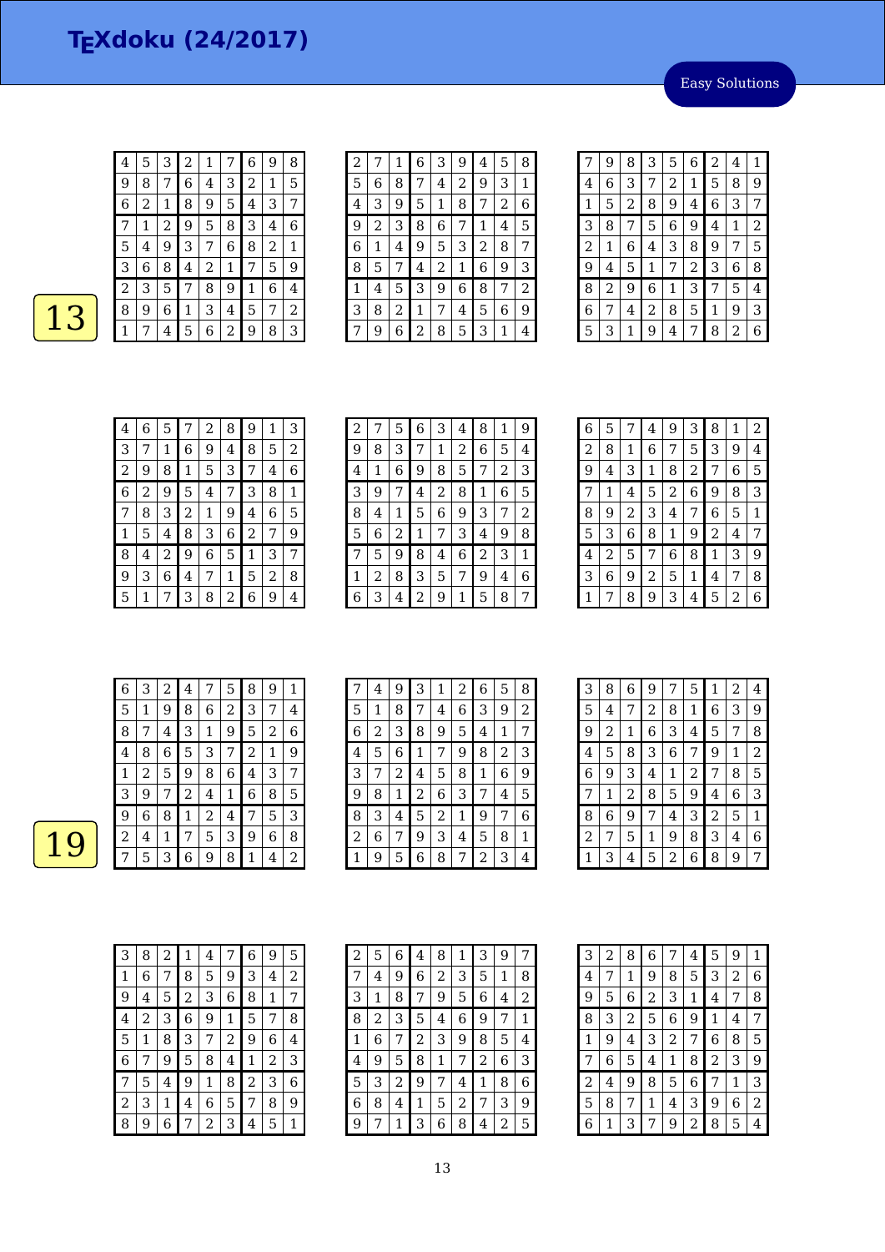Easy Solutions

| 4 | 5 | З | 2            | $\mathbf 1$ | 7 | 6              | 9 | 8 |
|---|---|---|--------------|-------------|---|----------------|---|---|
| 9 | 8 | 7 | 6            | 4           | 3 | $\overline{2}$ | 1 | 5 |
| 6 | 2 | 1 | 8            | 9           | 5 | 4              | 3 | 7 |
|   | 1 | 2 | 9            | 5           | 8 | 3              | 4 | 6 |
| 5 | 4 | 9 | 3            | 7           | 6 | 8              | 2 | 1 |
| З | 6 | 8 | 4            | 2           | 1 | 7              | 5 | 9 |
| 2 | 3 | 5 | 7            | 8           | 9 | 1              | 6 | 4 |
| 8 | 9 | 6 | $\mathbf{1}$ | 3           | 4 | 5              | 7 | 2 |
|   | 7 | 4 | 5            | 6           | 2 | 9              | 8 | З |

| $\overline{c}$ |   | 1 | 6           | 3 | 9 | 4 | 5              | 8 |
|----------------|---|---|-------------|---|---|---|----------------|---|
| 5              | 6 | 8 | 7           | 4 | 2 | 9 | 3              | 1 |
| 4              | 3 | 9 | 5           | 1 | 8 | 7 | $\overline{c}$ | 6 |
| 9              | 2 | 3 | 8           | 6 | 7 | 1 | 4              | 5 |
| 6              | 1 | 4 | 9           | 5 | 3 | 2 | 8              | 7 |
| 8              | 5 | 7 | 4           | 2 | 1 | 6 | 9              | 3 |
| 1              | 4 | 5 | 3           | 9 | 6 | 8 | 7              | 2 |
| 3              | 8 | 2 | $\mathbf 1$ | 7 | 4 | 5 | 6              | 9 |
|                | 9 | 6 | 2           | 8 | 5 | 3 | 1              | 4 |

| 7 | 9 | 8              | 3 | 5              | 6              | 2 | 4 | 1 |
|---|---|----------------|---|----------------|----------------|---|---|---|
| 4 | 6 | 3              | 7 | $\overline{c}$ | 1              | 5 | 8 | 9 |
| 1 | 5 | $\overline{c}$ | 8 | 9              | 4              | 6 | 3 | 7 |
| 3 | 8 | 7              | 5 | 6              | 9              | 4 | 1 | 2 |
| 2 | 1 | 6              | 4 | З              | 8              | 9 | 7 | 5 |
| 9 | 4 | 5              | 1 | 7              | $\overline{c}$ | 3 | 6 | 8 |
| 8 | 2 | 9              | 6 | 1              | 3              | 7 | 5 | 4 |
| 6 | 7 | 4              | 2 | 8              | 5              | 1 | 9 | З |
| 5 | 3 | 1              | 9 | 4              | 7              | 8 | 2 | 6 |

| 4 | 6 | 5 | 7 | 2 | 8 | 9 | 1 | З           |
|---|---|---|---|---|---|---|---|-------------|
| 3 |   | 1 | 6 | 9 | 4 | 8 | 5 | 2           |
| 2 | 9 | 8 | 1 | 5 | 3 | 7 | 4 | 6           |
| 6 | 2 | 9 | 5 | 4 | 7 | 3 | 8 | $\mathbf 1$ |
| 7 | 8 | З | 2 | 1 | 9 | 4 | 6 | 5           |
| 1 | 5 | 4 | 8 | 3 | 6 | 2 | 7 | 9           |
| 8 | 4 | 2 | 9 | 6 | 5 | 1 | 3 | 7           |
| 9 | 3 | 6 | 4 | 7 | 1 | 5 | 2 | 8           |
| 5 | 1 | 7 | 3 | 8 | 2 | 6 | 9 | 4           |

| 2              | 7 | 5 | 6 | 3 | 4 | 8              | 1 | 9 |
|----------------|---|---|---|---|---|----------------|---|---|
| 9              | 8 | З | 7 | 1 | 2 | 6              | 5 | 4 |
| $\overline{4}$ | 1 | 6 | 9 | 8 | 5 | 7              | 2 | 3 |
| 3              | 9 | 7 | 4 | 2 | 8 | 1              | 6 | 5 |
| 8              | 4 | 1 | 5 | 6 | 9 | 3              | 7 | 2 |
| 5              | 6 | 2 | 1 | 7 | 3 | 4              | 9 | 8 |
| 7              | 5 | 9 | 8 | 4 | 6 | $\overline{2}$ | 3 | 1 |
| 1              | 2 | 8 | 3 | 5 | 7 | 9              | 4 | 6 |
| 6              | 3 | 4 | 2 | 9 | 1 | 5              | 8 | 7 |

| 5 | 7 | 4 | 9              | 3 | 8 | 1 | 2            |
|---|---|---|----------------|---|---|---|--------------|
| 8 | 1 | 6 | 7              | 5 | 3 | 9 | 4            |
| 4 | 3 | 1 | 8              | 2 | 7 | 6 | 5            |
| 1 | 4 | 5 | $\overline{c}$ | 6 | 9 | 8 | 3            |
| 9 | 2 | 3 | 4              | 7 | 6 | 5 | $\mathbf{1}$ |
| 3 | 6 | 8 | 1              | 9 | 2 | 4 | 7            |
| 2 | 5 | 7 | 6              | 8 | 1 | 3 | 9            |
| 6 | 9 | 2 | 5              | 1 | 4 | 7 | 8            |
| 7 | 8 | 9 | 3              | 4 | 5 | 2 | 6            |
|   |   |   |                |   |   |   |              |

| 6 | З | 2 | 4 |   | 5 | 8              | 9            | 1 |
|---|---|---|---|---|---|----------------|--------------|---|
| 5 | 1 | 9 | 8 | 6 | 2 | З              | 7            | 4 |
| 8 | 7 | 4 | З | 1 | 9 | 5              | 2            | 6 |
| 4 | 8 | 6 | 5 | 3 | 7 | $\overline{2}$ | $\mathbf{1}$ | 9 |
| 1 | 2 | 5 | 9 | 8 | 6 | 4              | 3            | 7 |
| З | 9 | 7 | 2 | 4 | 1 | 6              | 8            | 5 |
| 9 | 6 | 8 | 1 | 2 | 4 | 7              | 5            | 3 |
| 2 | 4 | 1 | 7 | 5 | 3 | 9              | 6            | 8 |
|   | 5 | 3 | 6 | 9 | 8 | 1              | 4            | 2 |

| 7 | 4 | 9 | 3 | 1 | 2 | 6 | 5 | 8 |
|---|---|---|---|---|---|---|---|---|
| 5 | 1 | 8 | 7 | 4 | 6 | 3 | 9 | 2 |
| 6 | 2 | 3 | 8 | 9 | 5 | 4 | 1 | 7 |
| 4 | 5 | 6 | 1 | 7 | 9 | 8 | 2 | 3 |
| 3 |   | 2 | 4 | 5 | 8 | 1 | 6 | 9 |
| 9 | 8 | 1 | 2 | 6 | 3 | 7 | 4 | 5 |
| 8 | З | 4 | 5 | 2 | 1 | 9 | 7 | 6 |
| 2 | 6 | 7 | 9 | 3 | 4 | 5 | 8 | 1 |
|   | 9 | 5 | 6 | 8 | 7 | 2 | 3 | 4 |

| З              | 8 | 6              | 9 | 7              | 5              | 1              | 2 | 4 |
|----------------|---|----------------|---|----------------|----------------|----------------|---|---|
| 5              | 4 | 7              | 2 | 8              | 1              | 6              | 3 | 9 |
| 9              | 2 | 1              | 6 | 3              | 4              | 5              | 7 | 8 |
| 4              | 5 | 8              | 3 | $\overline{6}$ | 7              | 9              | 1 | 2 |
| 6              | 9 | 3              | 4 | 1              | $\overline{2}$ | 7              | 8 | 5 |
| 7              | 1 | $\overline{c}$ | 8 | 5              | 9              | 4              | 6 | 3 |
| 8              | 6 | 9              | 7 | 4              | 3              | $\overline{2}$ | 5 | 1 |
| $\overline{2}$ | 7 | 5              | 1 | 9              | 8              | 3              | 4 | 6 |
| 1              | 3 | 4              | 5 | 2              | 6              | 8              | 9 | 7 |

| 3 | 8 | 2 | 1 | 4           | 7 | 6 | 9 | 5 |
|---|---|---|---|-------------|---|---|---|---|
| 1 | 6 | 7 | 8 | 5           | 9 | 3 | 4 | 2 |
| 9 | 4 | 5 | 2 | 3           | 6 | 8 | 1 | 7 |
| 4 | 2 | 3 | 6 | 9           | 1 | 5 | 7 | 8 |
| 5 | 1 | 8 | 3 | 7           | 2 | 9 | 6 | 4 |
| 6 | 7 | 9 | 5 | 8           | 4 | 1 | 2 | 3 |
| 7 | 5 | 4 | 9 | $\mathbf 1$ | 8 | 2 | 3 | 6 |
| 2 | 3 | 1 | 4 | 6           | 5 | 7 | 8 | 9 |
| 8 | 9 | 6 | 7 | 2           | 3 | 4 | 5 | 1 |

| 2 | 5 | 6 | 4 | 8 | 1 | 3              | 9 | 7 |
|---|---|---|---|---|---|----------------|---|---|
| 7 | 4 | 9 | 6 | 2 | 3 | 5              | 1 | 8 |
| З | 1 | 8 | 7 | 9 | 5 | 6              | 4 | 2 |
| 8 | 2 | З | 5 | 4 | 6 | 9              | 7 | 1 |
| 1 | 6 | 7 | 2 | З | 9 | 8              | 5 | 4 |
| 4 | 9 | 5 | 8 | 1 | 7 | $\overline{c}$ | 6 | З |
| 5 | 3 | 2 | 9 | 7 | 4 | 1              | 8 | 6 |
| 6 | 8 | 4 | 1 | 5 | 2 | 7              | З | 9 |
| 9 |   | 1 | З | 6 | 8 | 4              | 2 | 5 |

| 3              | 2 | 8              | 6              | 7 | 4 | 5              | 9 | 1 |
|----------------|---|----------------|----------------|---|---|----------------|---|---|
| 4              | 7 | 1              | 9              | 8 | 5 | 3              | 2 | 6 |
| 9              | 5 | 6              | $\overline{c}$ | 3 | 1 | 4              | 7 | 8 |
| 8              | 3 | $\overline{c}$ | 5              | 6 | 9 | 1              | 4 | 7 |
| 1              | 9 | 4              | 3              | 2 | 7 | 6              | 8 | 5 |
| 7              | 6 | 5              | 4              | 1 | 8 | $\overline{c}$ | 3 | 9 |
| $\overline{c}$ | 4 | 9              | 8              | 5 | 6 | 7              | 1 | 3 |
| 5              | 8 | 7              | 1              | 4 | 3 | 9              | 6 | 2 |
| 6              | 1 | З              | 7              | 9 | 2 | 8              | 5 | 4 |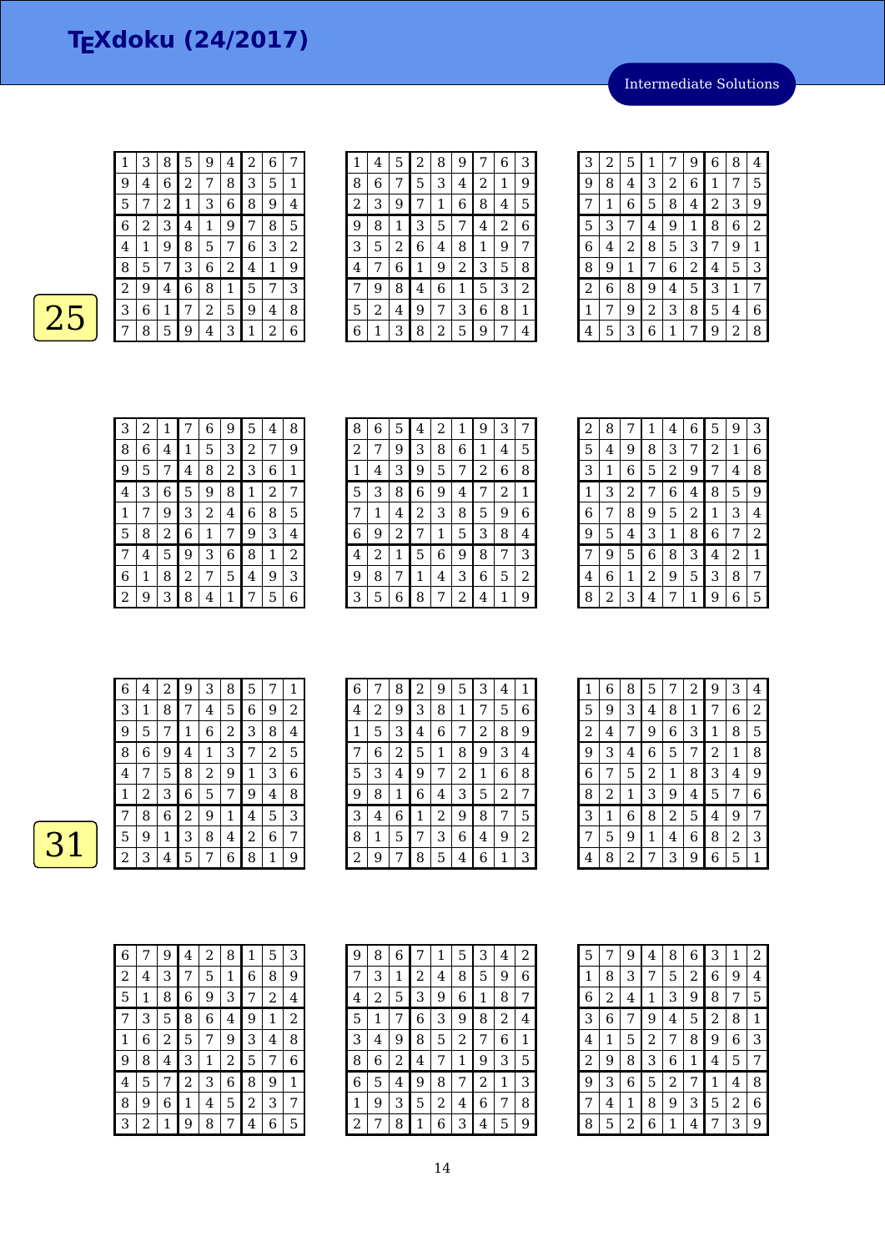Intermediate Solutions

 $\overline{31}$ 

| 1 | 3 | 8 | 5            | 9              | 4 | $\overline{c}$ | 6 | 7 |
|---|---|---|--------------|----------------|---|----------------|---|---|
| 9 | 4 | 6 | 2            | 7              | 8 | 3              | 5 | 1 |
| 5 | 7 | 2 | $\mathbf{1}$ | 3              | 6 | 8              | 9 | 4 |
| 6 | 2 | 3 | 4            | 1              | 9 | 7              | 8 | 5 |
| 4 | 1 | 9 | 8            | 5              | 7 | 6              | 3 | 2 |
| 8 | 5 | 7 | 3            | 6              | 2 | 4              | 1 | 9 |
| 2 | 9 | 4 | 6            | 8              | 1 | 5              | 7 | 3 |
| З | 6 | 1 | 7            | $\overline{c}$ | 5 | 9              | 4 | 8 |
| 7 | 8 | 5 | 9            | 4              | 3 | 1              | 2 | 6 |

| 1 | 4 | 5 | 2 | 8 | 9 |   | 6 | 3 |
|---|---|---|---|---|---|---|---|---|
| 8 | 6 |   | 5 | 3 | 4 | 2 | 1 | 9 |
| 2 | 3 | 9 | 7 | 1 | 6 | 8 | 4 | 5 |
| 9 | 8 | 1 | З | 5 | 7 | 4 | 2 | 6 |
| 3 | 5 | 2 | 6 | 4 | 8 | 1 | 9 | 7 |
| 4 | 7 | 6 | 1 | 9 | 2 | 3 | 5 | 8 |
| 7 | 9 | 8 | 4 | 6 | 1 | 5 | 3 | 2 |
| 5 | 2 | 4 | 9 | 7 | 3 | 6 | 8 | 1 |
| 6 | 1 | 3 | 8 | 2 | 5 | 9 | 7 | 4 |

| 3 | 2 | 5 | 1 | 7 | 9 | 6 | 8 | 4 |
|---|---|---|---|---|---|---|---|---|
| 9 | 8 | 4 | 3 | 2 | 6 | 1 | 7 | 5 |
| 7 | 1 | 6 | 5 | 8 | 4 | 2 | 3 | 9 |
| 5 | 3 | 7 | 4 | 9 | 1 | 8 | 6 | 2 |
| 6 | 4 | 2 | 8 | 5 | 3 | 7 | 9 | 1 |
| 8 | 9 | 1 | 7 | 6 | 2 | 4 | 5 | З |
| 2 | 6 | 8 | 9 | 4 | 5 | 3 | 1 | 7 |
| 1 | 7 | 9 | 2 | 3 | 8 | 5 | 4 | 6 |
| 4 | 5 | З | 6 | 1 | 7 | 9 | 2 | 8 |

| 3 | 2 | 1 | 7           | 6 | 9 | 5 | 4 | 8 |
|---|---|---|-------------|---|---|---|---|---|
| 8 | 6 | 4 | $\mathbf 1$ | 5 | 3 | 2 | 7 | 9 |
| 9 | 5 | 7 | 4           | 8 | 2 | 3 | 6 | 1 |
| 4 | З | 6 | 5           | 9 | 8 | 1 | 2 | 7 |
| 1 | 7 | 9 | 3           | 2 | 4 | 6 | 8 | 5 |
| 5 | 8 | 2 | 6           | 1 | 7 | 9 | 3 | 4 |
| 7 | 4 | 5 | 9           | 3 | 6 | 8 | 1 | 2 |
| 6 | 1 | 8 | 2           | 7 | 5 | 4 | 9 | 3 |
| 2 | 9 | 3 | 8           | 4 | 1 | 7 | 5 | 6 |

| 8 | 6 | 5 | 4 | 2 | 1 | 9 | 3 |   |
|---|---|---|---|---|---|---|---|---|
| 2 | 7 | 9 | 3 | 8 | 6 | 1 | 4 | 5 |
| 1 | 4 | З | 9 | 5 | 7 | 2 | 6 | 8 |
| 5 | З | 8 | 6 | 9 | 4 | 7 | 2 | 1 |
| 7 | 1 | 4 | 2 | 3 | 8 | 5 | 9 | 6 |
| 6 | 9 | 2 | 7 | 1 | 5 | 3 | 8 | 4 |
| 4 | 2 | 1 | 5 | 6 | 9 | 8 | 7 | 3 |
| 9 | 8 | 7 | 1 | 4 | З | 6 | 5 | 2 |
| З | 5 | 6 | 8 | 7 | 2 | 4 | 1 | 9 |

| 2            | 8 | 7 | $\mathbf 1$ | 4 | 6 | 5 | 9 | 3              |
|--------------|---|---|-------------|---|---|---|---|----------------|
| 5            | 4 | 9 | 8           | 3 | 7 | 2 | 1 | 6              |
| 3            | 1 | 6 | 5           | 2 | 9 | 7 | 4 | 8              |
| $\mathbf{1}$ | 3 | 2 | 7           | 6 | 4 | 8 | 5 | 9              |
| 6            | 7 | 8 | 9           | 5 | 2 | 1 | 3 | 4              |
| 9            | 5 | 4 | 3           | 1 | 8 | 6 | 7 | $\overline{2}$ |
| 7            | 9 | 5 | 6           | 8 | 3 | 4 | 2 | 1              |
| 4            | 6 | 1 | 2           | 9 | 5 | 3 | 8 | 7              |
| 8            | 2 | 3 | 4           | 7 | 1 | 9 | 6 | 5              |

| 6 | 4 | 2 | 9              | 3 | 8 | 5 |   | 1 |
|---|---|---|----------------|---|---|---|---|---|
| 3 | 1 | 8 | 7              | 4 | 5 | 6 | 9 | 2 |
| 9 | 5 | 7 | 1              | 6 | 2 | 3 | 8 | 4 |
| 8 | 6 | 9 | 4              | 1 | 3 | 7 | 2 | 5 |
| 4 | 7 | 5 | 8              | 2 | 9 | 1 | З | 6 |
| 1 | 2 | 3 | 6              | 5 | 7 | 9 | 4 | 8 |
|   | 8 | 6 | $\overline{2}$ | 9 | 1 | 4 | 5 | 3 |
| 5 | 9 | 1 | 3              | 8 | 4 | 2 | 6 | 7 |
| 2 | 3 | 4 | 5              | 7 | 6 | 8 | 1 | 9 |

| 6 |   | 8 | 2 | 9 | 5 | 3              | 4 | 1 |
|---|---|---|---|---|---|----------------|---|---|
| 4 | 2 | 9 | 3 | 8 | 1 | 7              | 5 | 6 |
| 1 | 5 | 3 | 4 | 6 | 7 | $\overline{c}$ | 8 | 9 |
|   | 6 | 2 | 5 | 1 | 8 | 9              | 3 | 4 |
| 5 | 3 | 4 | 9 | 7 | 2 | 1              | 6 | 8 |
| 9 | 8 | 1 | 6 | 4 | 3 | 5              | 2 | 7 |
| 3 | 4 | 6 | 1 | 2 | 9 | 8              | 7 | 5 |
| 8 | 1 | 5 | 7 | 3 | 6 | 4              | 9 | 2 |
| 2 | 9 | 7 | 8 | 5 | 4 | 6              | 1 | 3 |

| 1 | 6 | 8              | 5              | 7              | 2 | 9              | 3              | 4              |
|---|---|----------------|----------------|----------------|---|----------------|----------------|----------------|
| 5 | 9 | 3              | 4              | 8              | 1 | 7              | 6              | $\overline{2}$ |
| 2 | 4 | 7              | 9              | 6              | 3 | 1              | 8              | 5              |
| 9 | 3 | 4              | 6              | 5              | 7 | $\overline{2}$ | 1              | 8              |
| 6 | 7 | 5              | $\overline{c}$ | 1              | 8 | 3              | 4              | 9              |
| 8 | 2 | $\mathbf 1$    | 3              | 9              | 4 | 5              | 7              | 6              |
| 3 | 1 | 6              | 8              | $\overline{c}$ | 5 | 4              | 9              | 7              |
| 7 | 5 | 9              | 1              | 4              | 6 | 8              | $\overline{2}$ | 3              |
| 4 | 8 | $\overline{c}$ | 7              | 3              | 9 | 6              | 5              | 1              |

| 6 | 7 | 9              | 4              | 2 | 8              | 1              | 5 | 3 |
|---|---|----------------|----------------|---|----------------|----------------|---|---|
| 2 | 4 | 3              | 7              | 5 | 1              | 6              | 8 | 9 |
| 5 | 1 | 8              | 6              | 9 | 3              | 7              | 2 | 4 |
| 7 | З | 5              | 8              | 6 | 4              | 9              | 1 | 2 |
| 1 | 6 | $\overline{c}$ | 5              | 7 | 9              | 3              | 4 | 8 |
| 9 | 8 | 4              | 3              | 1 | $\overline{c}$ | 5              | 7 | 6 |
| 4 | 5 | 7              | $\overline{c}$ | 3 | 6              | 8              | 9 | 1 |
| 8 | 9 | 6              | 1              | 4 | 5              | $\overline{2}$ | 3 | 7 |
| 3 | 2 | 1              | 9              | 8 | 7              | 4              | 6 | 5 |

| 9 | 8 | 6 | 7 | 1 | 5 | 3 | 4 | 2 |
|---|---|---|---|---|---|---|---|---|
| 7 | 3 | 1 | 2 | 4 | 8 | 5 | 9 | 6 |
| 4 | 2 | 5 | З | 9 | 6 | 1 | 8 | 7 |
| 5 | 1 | 7 | 6 | 3 | 9 | 8 | 2 | 4 |
| 3 | 4 | 9 | 8 | 5 | 2 | 7 | 6 | 1 |
| 8 | 6 | 2 | 4 | 7 | 1 | 9 | 3 | 5 |
| 6 | 5 | 4 | 9 | 8 | 7 | 2 | 1 | З |
| 1 | 9 | З | 5 | 2 | 4 | 6 | 7 | 8 |
| 2 | 7 | 8 | 1 | 6 | 3 | 4 | 5 | 9 |

| 5              | 7              | 9 | 4              | 8              | 6 | 3              | 1 | 2 |
|----------------|----------------|---|----------------|----------------|---|----------------|---|---|
| 1              | 8              | 3 | 7              | 5              | 2 | 6              | 9 | 4 |
| 6              | $\overline{c}$ | 4 | $\mathbf{1}$   | 3              | 9 | 8              | 7 | 5 |
| 3              | 6              | 7 | 9              | 4              | 5 | $\overline{c}$ | 8 | 1 |
| 4              | 1              | 5 | $\overline{c}$ | 7              | 8 | 9              | 6 | 3 |
| $\overline{c}$ | 9              | 8 | 3              | 6              | 1 | 4              | 5 | 7 |
| 9              | 3              | 6 | 5              | $\overline{c}$ | 7 | 1              | 4 | 8 |
| 7              | 4              | 1 | 8              | 9              | 3 | 5              | 2 | 6 |
| 8              | 5              | 2 | 6              | 1              | 4 | 7              | 3 | 9 |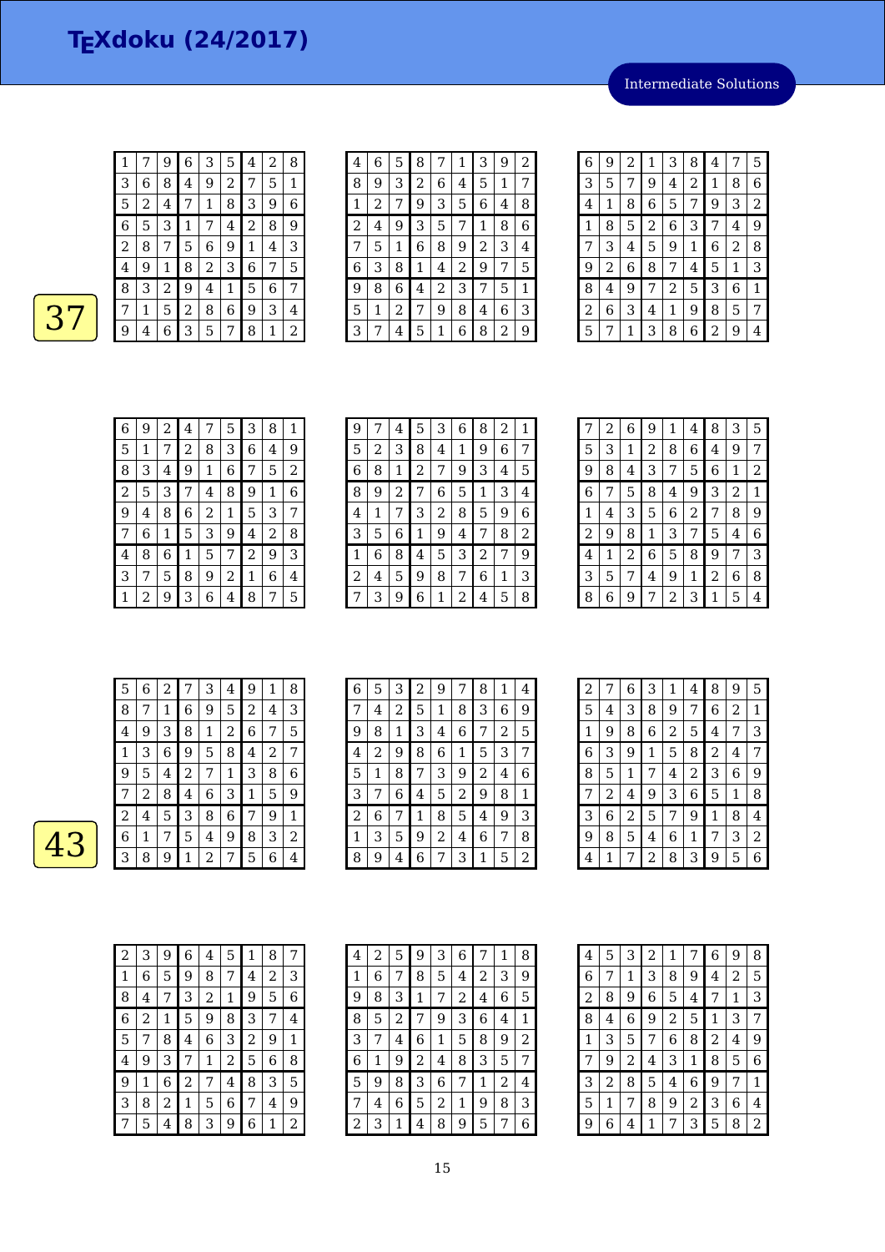Intermediate Solutions

|                |   | 9 | 6 | З | 5 | 4              | 2 | 8 |
|----------------|---|---|---|---|---|----------------|---|---|
| З              | 6 | 8 | 4 | 9 | 2 | 7              | 5 | 1 |
| 5              | 2 | 4 | 7 | 1 | 8 | 3              | 9 | 6 |
| 6              | 5 | 3 | 1 | 7 | 4 | $\overline{2}$ | 8 | 9 |
| 2              | 8 | 7 | 5 | 6 | 9 | 1              | 4 | 3 |
| $\overline{4}$ | 9 | 1 | 8 | 2 | 3 | 6              | 7 | 5 |
| 8              | 3 | 2 | 9 | 4 | 1 | 5              | 6 | 7 |
| 7              | 1 | 5 | 2 | 8 | 6 | 9              | 3 | 4 |
| 9              | 4 | 6 | З | 5 | 7 | 8              | 1 | 2 |

| 4 | 6 | 5 | 8 | 7 | 1 | 3 | 9 | 2 |
|---|---|---|---|---|---|---|---|---|
| 8 | 9 | 3 | 2 | 6 | 4 | 5 | 1 | 7 |
| 1 | 2 | 7 | 9 | 3 | 5 | 6 | 4 | 8 |
| 2 | 4 | 9 | 3 | 5 | 7 | 1 | 8 | 6 |
| 7 | 5 | 1 | 6 | 8 | 9 | 2 | 3 | 4 |
| 6 | 3 | 8 | 1 | 4 | 2 | 9 | 7 | 5 |
| 9 | 8 | 6 | 4 | 2 | 3 | 7 | 5 | 1 |
| 5 | 1 | 2 | 7 | 9 | 8 | 4 | 6 | 3 |
| 3 | 7 | 4 | 5 | 1 | 6 | 8 | 2 | 9 |
|   |   |   |   |   |   |   |   |   |

| 6 | 9 | 2 | 1              | 3 | 8 | 4 | 7 | 5              |
|---|---|---|----------------|---|---|---|---|----------------|
| 3 | 5 | 7 | 9              | 4 | 2 | 1 | 8 | 6              |
| 4 | 1 | 8 | 6              | 5 | 7 | 9 | 3 | $\overline{2}$ |
| 1 | 8 | 5 | $\overline{c}$ | 6 | 3 | 7 | 4 | 9              |
| 7 | 3 | 4 | 5              | 9 | 1 | 6 | 2 | 8              |
| 9 | 2 | 6 | 8              | 7 | 4 | 5 | 1 | 3              |
| 8 | 4 | 9 | 7              | 2 | 5 | 3 | 6 | 1              |
| 2 | 6 | 3 | 4              | 1 | 9 | 8 | 5 | 7              |
| 5 | 7 | 1 | 3              | 8 | 6 | 2 | 9 |                |

| 6 | 9 | 2 | 4 | 7           | 5 | 3 | 8 | 1 |
|---|---|---|---|-------------|---|---|---|---|
| 5 | 1 | 7 | 2 | 8           | 3 | 6 | 4 | 9 |
| 8 | 3 | 4 | 9 | $\mathbf 1$ | 6 | 7 | 5 | 2 |
| 2 | 5 | 3 | 7 | 4           | 8 | 9 | 1 | 6 |
| 9 | 4 | 8 | 6 | 2           | 1 | 5 | 3 | 7 |
| 7 | 6 | 1 | 5 | 3           | 9 | 4 | 2 | 8 |
| 4 | 8 | 6 | 1 | 5           | 7 | 2 | 9 | 3 |
| 3 | 7 | 5 | 8 | 9           | 2 | 1 | 6 | 4 |
| 1 | 2 | 9 | 3 | 6           | 4 | 8 | 7 | 5 |

| 9 |   | 4 | 5              | 3 | 6 | 8 | 2 | 1 |
|---|---|---|----------------|---|---|---|---|---|
| 5 | 2 | З | 8              | 4 | 1 | 9 | 6 | 7 |
| 6 | 8 | 1 | $\overline{c}$ | 7 | 9 | З | 4 | 5 |
| 8 | 9 | 2 | 7              | 6 | 5 | 1 | 3 | 4 |
| 4 | 1 | 7 | З              | 2 | 8 | 5 | 9 | 6 |
| 3 | 5 | 6 | 1              | 9 | 4 | 7 | 8 | 2 |
| 1 | 6 | 8 | 4              | 5 | 3 | 2 | 7 | 9 |
| 2 | 4 | 5 | 9              | 8 | 7 | 6 | 1 | З |
| 7 | З | 9 | 6              | 1 | 2 | 4 | 5 | 8 |

| 7 | $\overline{c}$ | 6 | 9 | 1 | 4 | 8 | 3 | 5           |
|---|----------------|---|---|---|---|---|---|-------------|
| 5 | 3              | 1 | 2 | 8 | 6 | 4 | 9 | 7           |
| 9 | 8              | 4 | 3 | 7 | 5 | 6 | 1 | 2           |
| 6 | 7              | 5 | 8 | 4 | 9 | 3 | 2 | $\mathbf 1$ |
| 1 | 4              | 3 | 5 | 6 | 2 | 7 | 8 | 9           |
| 2 | 9              | 8 | 1 | 3 | 7 | 5 | 4 | 6           |
| 4 | 1              | 2 | 6 | 5 | 8 | 9 | 7 | 3           |
| 3 | 5              | 7 | 4 | 9 | 1 | 2 | 6 | 8           |
| 8 | 6              | 9 | 7 | 2 | 3 | 1 | 5 | 4           |

| 5 | 6 | 2 | 7 | 3 | $\overline{\mathbf{4}}$ | 9 | 1 | 8 |
|---|---|---|---|---|-------------------------|---|---|---|
| 8 | 7 | 1 | 6 | 9 | 5                       | 2 | 4 | З |
| 4 | 9 | 3 | 8 | 1 | 2                       | 6 | 7 | 5 |
| 1 | З | 6 | 9 | 5 | 8                       | 4 | 2 | 7 |
| 9 | 5 | 4 | 2 | 7 | 1                       | З | 8 | 6 |
| 7 | 2 | 8 | 4 | 6 | 3                       | 1 | 5 | 9 |
| 2 | 4 | 5 | 3 | 8 | 6                       | 7 | 9 | 1 |
| 6 | 1 | 7 | 5 | 4 | 9                       | 8 | 3 | 2 |
| З | 8 | 9 | 1 | 2 | 7                       | 5 | 6 | 4 |

| 6 | 5 | 3 | 2           | 9 | 7 | 8              | 1 | 4 |
|---|---|---|-------------|---|---|----------------|---|---|
|   | 4 | 2 | 5           | 1 | 8 | 3              | 6 | 9 |
| 9 | 8 | 1 | 3           | 4 | 6 | 7              | 2 | 5 |
| 4 | 2 | 9 | 8           | 6 | 1 | 5              | 3 | 7 |
| 5 | 1 | 8 | 7           | 3 | 9 | $\overline{2}$ | 4 | 6 |
| З | 7 | 6 | 4           | 5 | 2 | 9              | 8 | 1 |
| 2 | 6 | 7 | $\mathbf 1$ | 8 | 5 | 4              | 9 | 3 |
| 1 | 3 | 5 | 9           | 2 | 4 | 6              | 7 | 8 |
| 8 | 9 | 4 | 6           | 7 | 3 | 1              | 5 | 2 |

| 2 | 7 | 6              | З              | 1              | 4 | 8 | 9 | 5 |
|---|---|----------------|----------------|----------------|---|---|---|---|
| 5 | 4 | 3              | 8              | 9              | 7 | 6 | 2 | 1 |
| 1 | 9 | 8              | 6              | $\overline{c}$ | 5 | 4 | 7 | 3 |
| 6 | 3 | 9              | 1              | 5              | 8 | 2 | 4 | 7 |
| 8 | 5 | 1              | 7              | 4              | 2 | 3 | 6 | 9 |
| 7 | 2 | 4              | 9              | 3              | 6 | 5 | 1 | 8 |
| 3 | 6 | $\overline{c}$ | 5              | 7              | 9 | 1 | 8 | 4 |
| 9 | 8 | 5              | 4              | 6              | 1 | 7 | 3 | 2 |
| 4 | 1 | 7              | $\overline{2}$ | 8              | 3 | 9 | 5 | 6 |

| 2 | 3 | 9 | 6 | 4              | 5 | 1 | 8 | 7 |
|---|---|---|---|----------------|---|---|---|---|
| 1 | 6 | 5 | 9 | 8              | 7 | 4 | 2 | З |
| 8 | 4 | 7 | 3 | $\overline{c}$ | 1 | 9 | 5 | 6 |
| 6 | 2 | 1 | 5 | 9              | 8 | 3 | 7 | 4 |
| 5 | 7 | 8 | 4 | 6              | 3 | 2 | 9 | 1 |
| 4 | 9 | 3 | 7 | 1              | 2 | 5 | 6 | 8 |
| 9 | 1 | 6 | 2 | 7              | 4 | 8 | 3 | 5 |
| 3 | 8 | 2 | 1 | 5              | 6 | 7 | 4 | 9 |
| 7 | 5 | 4 | 8 | 3              | 9 | 6 | 1 | 2 |

| 4              | 2 | 5 | 9 | З | 6 |   | 1 | 8 |
|----------------|---|---|---|---|---|---|---|---|
| 1              | 6 | 7 | 8 | 5 | 4 | 2 | З | 9 |
| 9              | 8 | З | 1 | 7 | 2 | 4 | 6 | 5 |
| 8              | 5 | 2 | 7 | 9 | 3 | 6 | 4 | 1 |
| 3              | 7 | 4 | 6 | 1 | 5 | 8 | 9 | 2 |
| $\,$ 6 $\,$    | 1 | 9 | 2 | 4 | 8 | 3 | 5 | 7 |
| 5              | 9 | 8 | З | 6 | 7 | 1 | 2 | 4 |
| 7              | 4 | 6 | 5 | 2 | 1 | 9 | 8 | 3 |
| $\overline{c}$ | 3 | 1 | 4 | 8 | 9 | 5 | 7 | 6 |

| 4              | 5 | 3              | $\overline{c}$ | 1 | 7            | $\,$ 6 $\,$    | 9 | 8 |
|----------------|---|----------------|----------------|---|--------------|----------------|---|---|
| 6              | 7 | 1              | 3              | 8 | 9            | 4              | 2 | 5 |
| $\overline{c}$ | 8 | 9              | 6              | 5 | 4            | 7              | 1 | 3 |
| 8              | 4 | 6              | 9              | 2 | 5            | 1              | 3 | 7 |
| 1              | 3 | 5              | 7              | 6 | 8            | $\overline{c}$ | 4 | 9 |
| 7              | 9 | $\overline{c}$ | 4              | 3 | $\mathbf{1}$ | 8              | 5 | 6 |
| 3              | 2 | 8              | 5              | 4 | 6            | 9              | 7 | 1 |
| 5              | 1 | 7              | 8              | 9 | 2            | 3              | 6 | 4 |
| 9              | 6 | 4              | 1              | 7 | 3            | 5              | 8 | 2 |